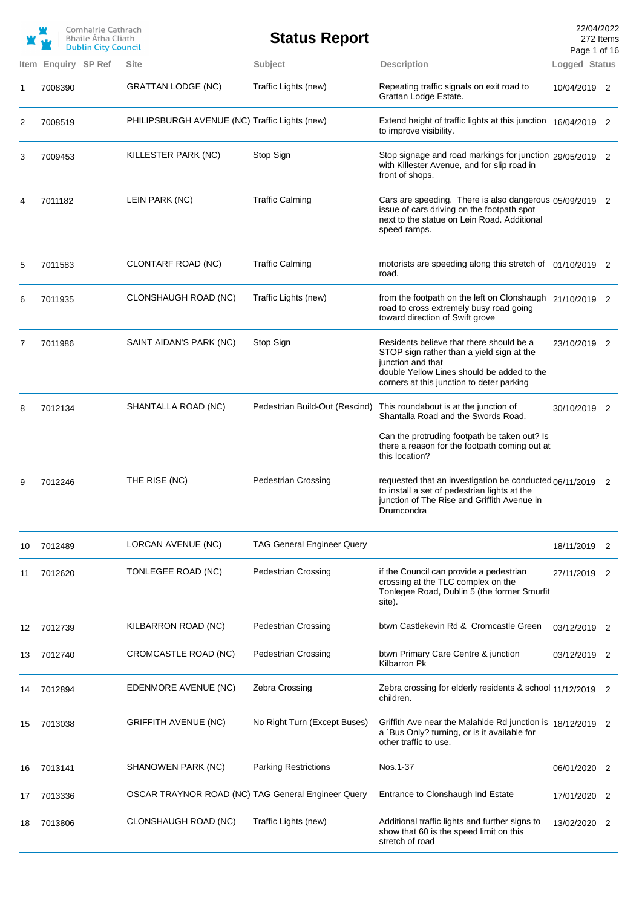|    |         | Comhairle Cathrach<br>Bhaile Átha Cliath<br><b>Dublin City Council</b> |                                                    | <b>Status Report</b>              |                                                                                                                                                                                                       | 22/04/2022<br>272 Items<br>Page 1 of 16 |    |
|----|---------|------------------------------------------------------------------------|----------------------------------------------------|-----------------------------------|-------------------------------------------------------------------------------------------------------------------------------------------------------------------------------------------------------|-----------------------------------------|----|
|    |         | Item Enquiry SP Ref                                                    | <b>Site</b>                                        | Subject                           | <b>Description</b>                                                                                                                                                                                    | Logged Status                           |    |
| 1  | 7008390 |                                                                        | <b>GRATTAN LODGE (NC)</b>                          | Traffic Lights (new)              | Repeating traffic signals on exit road to<br>Grattan Lodge Estate.                                                                                                                                    | 10/04/2019 2                            |    |
| 2  | 7008519 |                                                                        | PHILIPSBURGH AVENUE (NC) Traffic Lights (new)      |                                   | Extend height of traffic lights at this junction 16/04/2019 2<br>to improve visibility.                                                                                                               |                                         |    |
| 3  | 7009453 |                                                                        | KILLESTER PARK (NC)                                | Stop Sign                         | Stop signage and road markings for junction 29/05/2019 2<br>with Killester Avenue, and for slip road in<br>front of shops.                                                                            |                                         |    |
| 4  | 7011182 |                                                                        | LEIN PARK (NC)                                     | <b>Traffic Calming</b>            | Cars are speeding. There is also dangerous 05/09/2019 2<br>issue of cars driving on the footpath spot<br>next to the statue on Lein Road. Additional<br>speed ramps.                                  |                                         |    |
| 5  | 7011583 |                                                                        | CLONTARF ROAD (NC)                                 | <b>Traffic Calming</b>            | motorists are speeding along this stretch of 01/10/2019 2<br>road.                                                                                                                                    |                                         |    |
| 6  | 7011935 |                                                                        | CLONSHAUGH ROAD (NC)                               | Traffic Lights (new)              | from the footpath on the left on Clonshaugh 21/10/2019 2<br>road to cross extremely busy road going<br>toward direction of Swift grove                                                                |                                         |    |
| 7  | 7011986 |                                                                        | SAINT AIDAN'S PARK (NC)                            | Stop Sign                         | Residents believe that there should be a<br>STOP sign rather than a yield sign at the<br>junction and that<br>double Yellow Lines should be added to the<br>corners at this junction to deter parking | 23/10/2019 2                            |    |
| 8  | 7012134 |                                                                        | SHANTALLA ROAD (NC)                                | Pedestrian Build-Out (Rescind)    | This roundabout is at the junction of<br>Shantalla Road and the Swords Road.                                                                                                                          | 30/10/2019 2                            |    |
|    |         |                                                                        |                                                    |                                   | Can the protruding footpath be taken out? Is<br>there a reason for the footpath coming out at<br>this location?                                                                                       |                                         |    |
| 9  | 7012246 |                                                                        | THE RISE (NC)                                      | <b>Pedestrian Crossing</b>        | requested that an investigation be conducted 06/11/2019 2<br>to install a set of pedestrian lights at the<br>junction of The Rise and Griffith Avenue in<br>Drumcondra                                |                                         |    |
| 10 | 7012489 |                                                                        | LORCAN AVENUE (NC)                                 | <b>TAG General Engineer Query</b> |                                                                                                                                                                                                       | 18/11/2019                              | 2  |
| 11 | 7012620 |                                                                        | TONLEGEE ROAD (NC)                                 | <b>Pedestrian Crossing</b>        | if the Council can provide a pedestrian<br>crossing at the TLC complex on the<br>Tonlegee Road, Dublin 5 (the former Smurfit<br>site).                                                                | 27/11/2019                              | -2 |
| 12 | 7012739 |                                                                        | KILBARRON ROAD (NC)                                | <b>Pedestrian Crossing</b>        | btwn Castlekevin Rd & Cromcastle Green                                                                                                                                                                | 03/12/2019 2                            |    |
| 13 | 7012740 |                                                                        | CROMCASTLE ROAD (NC)                               | <b>Pedestrian Crossing</b>        | btwn Primary Care Centre & junction<br>Kilbarron Pk                                                                                                                                                   | 03/12/2019 2                            |    |
| 14 | 7012894 |                                                                        | EDENMORE AVENUE (NC)                               | Zebra Crossing                    | Zebra crossing for elderly residents & school 11/12/2019 2<br>children.                                                                                                                               |                                         |    |
| 15 | 7013038 |                                                                        | <b>GRIFFITH AVENUE (NC)</b>                        | No Right Turn (Except Buses)      | Griffith Ave near the Malahide Rd junction is 18/12/2019 2<br>a `Bus Only? turning, or is it available for<br>other traffic to use.                                                                   |                                         |    |
| 16 | 7013141 |                                                                        | SHANOWEN PARK (NC)                                 | <b>Parking Restrictions</b>       | Nos.1-37                                                                                                                                                                                              | 06/01/2020                              | 2  |
| 17 | 7013336 |                                                                        | OSCAR TRAYNOR ROAD (NC) TAG General Engineer Query |                                   | Entrance to Clonshaugh Ind Estate                                                                                                                                                                     | 17/01/2020                              | -2 |
| 18 | 7013806 |                                                                        | CLONSHAUGH ROAD (NC)                               | Traffic Lights (new)              | Additional traffic lights and further signs to<br>show that 60 is the speed limit on this<br>stretch of road                                                                                          | 13/02/2020                              | -2 |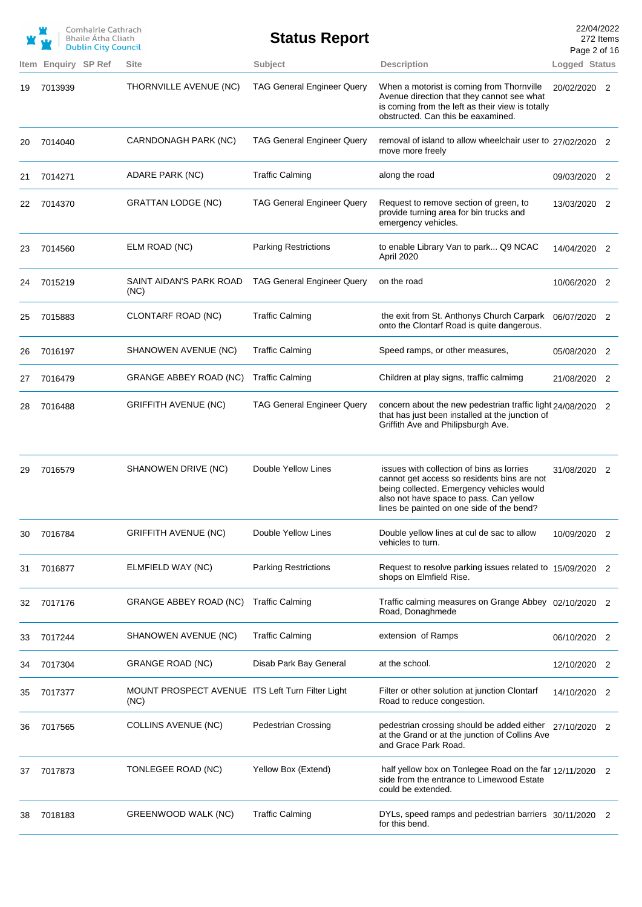| Comhairle Cathrach         |
|----------------------------|
| Bhaile Átha Cliath         |
| <b>Dublin City Council</b> |

**Status Report**

22/04/2022 272 Items Page 2 of 16

|    |                     |                                                          |                                   |                                                                                                                                                                                                                               | Page 2 or 16  |                |
|----|---------------------|----------------------------------------------------------|-----------------------------------|-------------------------------------------------------------------------------------------------------------------------------------------------------------------------------------------------------------------------------|---------------|----------------|
|    | Item Enquiry SP Ref | Site                                                     | Subject                           | <b>Description</b>                                                                                                                                                                                                            | Logged Status |                |
| 19 | 7013939             | THORNVILLE AVENUE (NC)                                   | <b>TAG General Engineer Query</b> | When a motorist is coming from Thornville<br>Avenue direction that they cannot see what<br>is coming from the left as their view is totally<br>obstructed. Can this be eaxamined.                                             | 20/02/2020 2  |                |
| 20 | 7014040             | CARNDONAGH PARK (NC)                                     | <b>TAG General Engineer Query</b> | removal of island to allow wheelchair user to 27/02/2020 2<br>move more freely                                                                                                                                                |               |                |
| 21 | 7014271             | ADARE PARK (NC)                                          | <b>Traffic Calming</b>            | along the road                                                                                                                                                                                                                | 09/03/2020 2  |                |
| 22 | 7014370             | <b>GRATTAN LODGE (NC)</b>                                | <b>TAG General Engineer Query</b> | Request to remove section of green, to<br>provide turning area for bin trucks and<br>emergency vehicles.                                                                                                                      | 13/03/2020 2  |                |
| 23 | 7014560             | ELM ROAD (NC)                                            | <b>Parking Restrictions</b>       | to enable Library Van to park Q9 NCAC<br>April 2020                                                                                                                                                                           | 14/04/2020 2  |                |
| 24 | 7015219             | SAINT AIDAN'S PARK ROAD<br>(NC)                          | <b>TAG General Engineer Query</b> | on the road                                                                                                                                                                                                                   | 10/06/2020 2  |                |
| 25 | 7015883             | CLONTARF ROAD (NC)                                       | <b>Traffic Calming</b>            | the exit from St. Anthonys Church Carpark<br>onto the Clontarf Road is quite dangerous.                                                                                                                                       | 06/07/2020 2  |                |
| 26 | 7016197             | SHANOWEN AVENUE (NC)                                     | <b>Traffic Calming</b>            | Speed ramps, or other measures,                                                                                                                                                                                               | 05/08/2020 2  |                |
| 27 | 7016479             | <b>GRANGE ABBEY ROAD (NC)</b>                            | <b>Traffic Calming</b>            | Children at play signs, traffic calmimg                                                                                                                                                                                       | 21/08/2020 2  |                |
| 28 | 7016488             | <b>GRIFFITH AVENUE (NC)</b>                              | <b>TAG General Engineer Query</b> | concern about the new pedestrian traffic light 24/08/2020 2<br>that has just been installed at the junction of<br>Griffith Ave and Philipsburgh Ave.                                                                          |               |                |
| 29 | 7016579             | SHANOWEN DRIVE (NC)                                      | Double Yellow Lines               | issues with collection of bins as lorries<br>cannot get access so residents bins are not<br>being collected. Emergency vehicles would<br>also not have space to pass. Can yellow<br>lines be painted on one side of the bend? | 31/08/2020 2  |                |
| 30 | 7016784             | <b>GRIFFITH AVENUE (NC)</b>                              | Double Yellow Lines               | Double yellow lines at cul de sac to allow<br>vehicles to turn.                                                                                                                                                               | 10/09/2020 2  |                |
| 31 | 7016877             | ELMFIELD WAY (NC)                                        | <b>Parking Restrictions</b>       | Request to resolve parking issues related to 15/09/2020 2<br>shops on Elmfield Rise.                                                                                                                                          |               |                |
| 32 | 7017176             | GRANGE ABBEY ROAD (NC)                                   | <b>Traffic Calming</b>            | Traffic calming measures on Grange Abbey 02/10/2020 2<br>Road, Donaghmede                                                                                                                                                     |               |                |
| 33 | 7017244             | SHANOWEN AVENUE (NC)                                     | <b>Traffic Calming</b>            | extension of Ramps                                                                                                                                                                                                            | 06/10/2020 2  |                |
| 34 | 7017304             | <b>GRANGE ROAD (NC)</b>                                  | Disab Park Bay General            | at the school.                                                                                                                                                                                                                | 12/10/2020 2  |                |
| 35 | 7017377             | MOUNT PROSPECT AVENUE ITS Left Turn Filter Light<br>(NC) |                                   | Filter or other solution at junction Clontarf<br>Road to reduce congestion.                                                                                                                                                   | 14/10/2020 2  |                |
| 36 | 7017565             | <b>COLLINS AVENUE (NC)</b>                               | <b>Pedestrian Crossing</b>        | pedestrian crossing should be added either 27/10/2020 2<br>at the Grand or at the junction of Collins Ave<br>and Grace Park Road.                                                                                             |               |                |
| 37 | 7017873             | TONLEGEE ROAD (NC)                                       | Yellow Box (Extend)               | half yellow box on Tonlegee Road on the far 12/11/2020<br>side from the entrance to Limewood Estate<br>could be extended.                                                                                                     |               | $\overline{2}$ |
| 38 | 7018183             | GREENWOOD WALK (NC)                                      | <b>Traffic Calming</b>            | DYLs, speed ramps and pedestrian barriers 30/11/2020 2<br>for this bend.                                                                                                                                                      |               |                |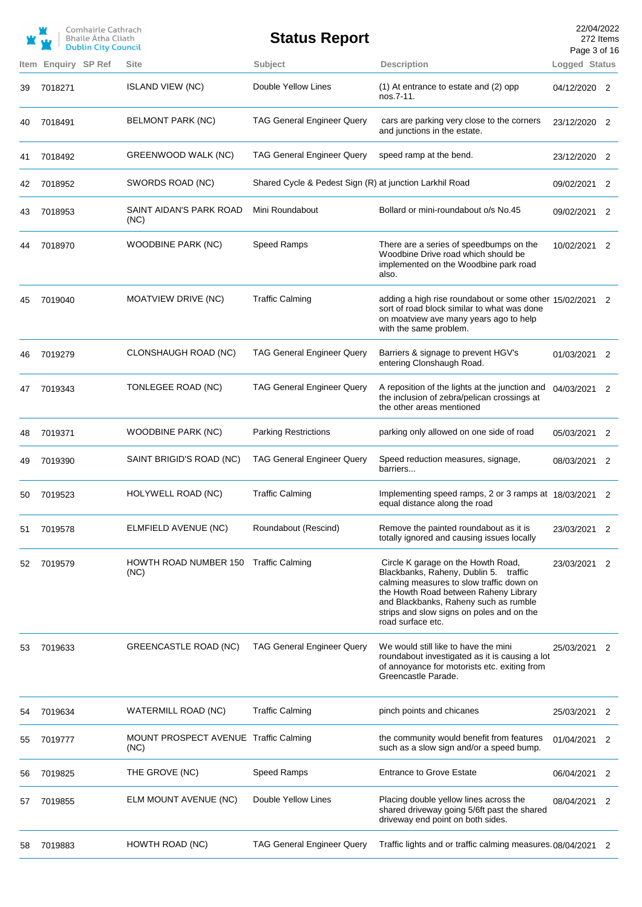|    |                            | Comhairle Cathrach<br>Bhaile Átha Cliath<br><b>Dublin City Council</b> |                                               | <b>Status Report</b>                                    |                                                                                                                                                                                                                                                                             | 22/04/2022<br>Page 3 of 16 | 272 Items |
|----|----------------------------|------------------------------------------------------------------------|-----------------------------------------------|---------------------------------------------------------|-----------------------------------------------------------------------------------------------------------------------------------------------------------------------------------------------------------------------------------------------------------------------------|----------------------------|-----------|
|    | <b>Item Enguiry SP Ref</b> |                                                                        | <b>Site</b>                                   | Subject                                                 | <b>Description</b>                                                                                                                                                                                                                                                          | Logged Status              |           |
| 39 | 7018271                    |                                                                        | <b>ISLAND VIEW (NC)</b>                       | Double Yellow Lines                                     | (1) At entrance to estate and (2) opp<br>nos.7-11.                                                                                                                                                                                                                          | 04/12/2020 2               |           |
| 40 | 7018491                    |                                                                        | BELMONT PARK (NC)                             | <b>TAG General Engineer Query</b>                       | cars are parking very close to the corners<br>and junctions in the estate.                                                                                                                                                                                                  | 23/12/2020 2               |           |
| 41 | 7018492                    |                                                                        | GREENWOOD WALK (NC)                           | <b>TAG General Engineer Query</b>                       | speed ramp at the bend.                                                                                                                                                                                                                                                     | 23/12/2020 2               |           |
| 42 | 7018952                    |                                                                        | SWORDS ROAD (NC)                              | Shared Cycle & Pedest Sign (R) at junction Larkhil Road |                                                                                                                                                                                                                                                                             | 09/02/2021 2               |           |
| 43 | 7018953                    |                                                                        | SAINT AIDAN'S PARK ROAD<br>(NC)               | Mini Roundabout                                         | Bollard or mini-roundabout o/s No.45                                                                                                                                                                                                                                        | 09/02/2021 2               |           |
| 44 | 7018970                    |                                                                        | <b>WOODBINE PARK (NC)</b>                     | Speed Ramps                                             | There are a series of speedbumps on the<br>Woodbine Drive road which should be<br>implemented on the Woodbine park road<br>also.                                                                                                                                            | 10/02/2021 2               |           |
| 45 | 7019040                    |                                                                        | <b>MOATVIEW DRIVE (NC)</b>                    | <b>Traffic Calming</b>                                  | adding a high rise roundabout or some other 15/02/2021 2<br>sort of road block similar to what was done<br>on moatview ave many years ago to help<br>with the same problem.                                                                                                 |                            |           |
| 46 | 7019279                    |                                                                        | CLONSHAUGH ROAD (NC)                          | <b>TAG General Engineer Query</b>                       | Barriers & signage to prevent HGV's<br>entering Clonshaugh Road.                                                                                                                                                                                                            | 01/03/2021 2               |           |
| 47 | 7019343                    |                                                                        | TONLEGEE ROAD (NC)                            | <b>TAG General Engineer Query</b>                       | A reposition of the lights at the junction and<br>the inclusion of zebra/pelican crossings at<br>the other areas mentioned                                                                                                                                                  | 04/03/2021 2               |           |
| 48 | 7019371                    |                                                                        | WOODBINE PARK (NC)                            | <b>Parking Restrictions</b>                             | parking only allowed on one side of road                                                                                                                                                                                                                                    | 05/03/2021                 | 2         |
| 49 | 7019390                    |                                                                        | SAINT BRIGID'S ROAD (NC)                      | <b>TAG General Engineer Query</b>                       | Speed reduction measures, signage,<br>barriers                                                                                                                                                                                                                              | 08/03/2021 2               |           |
| 50 | 7019523                    |                                                                        | HOLYWELL ROAD (NC)                            | <b>Traffic Calming</b>                                  | Implementing speed ramps, 2 or 3 ramps at 18/03/2021 2<br>equal distance along the road                                                                                                                                                                                     |                            |           |
| 51 | 7019578                    |                                                                        | ELMFIELD AVENUE (NC)                          | Roundabout (Rescind)                                    | Remove the painted roundabout as it is<br>totally ignored and causing issues locally                                                                                                                                                                                        | 23/03/2021                 | 2         |
| 52 | 7019579                    |                                                                        | <b>HOWTH ROAD NUMBER 150</b><br>(NC)          | <b>Traffic Calming</b>                                  | Circle K garage on the Howth Road,<br>Blackbanks, Raheny, Dublin 5. traffic<br>calming measures to slow traffic down on<br>the Howth Road between Raheny Library<br>and Blackbanks, Raheny such as rumble<br>strips and slow signs on poles and on the<br>road surface etc. | 23/03/2021                 | 2         |
| 53 | 7019633                    |                                                                        | GREENCASTLE ROAD (NC)                         | <b>TAG General Engineer Query</b>                       | We would still like to have the mini<br>roundabout investigated as it is causing a lot<br>of annoyance for motorists etc. exiting from<br>Greencastle Parade.                                                                                                               | 25/03/2021                 | 2         |
| 54 | 7019634                    |                                                                        | WATERMILL ROAD (NC)                           | <b>Traffic Calming</b>                                  | pinch points and chicanes                                                                                                                                                                                                                                                   | 25/03/2021                 | 2         |
| 55 | 7019777                    |                                                                        | MOUNT PROSPECT AVENUE Traffic Calming<br>(NC) |                                                         | the community would benefit from features<br>such as a slow sign and/or a speed bump.                                                                                                                                                                                       | 01/04/2021 2               |           |
| 56 | 7019825                    |                                                                        | THE GROVE (NC)                                | Speed Ramps                                             | <b>Entrance to Grove Estate</b>                                                                                                                                                                                                                                             | 06/04/2021                 | 2         |
| 57 | 7019855                    |                                                                        | ELM MOUNT AVENUE (NC)                         | Double Yellow Lines                                     | Placing double yellow lines across the<br>shared driveway going 5/6ft past the shared<br>driveway end point on both sides.                                                                                                                                                  | 08/04/2021 2               |           |
| 58 | 7019883                    |                                                                        | HOWTH ROAD (NC)                               | <b>TAG General Engineer Query</b>                       | Traffic lights and or traffic calming measures.08/04/2021                                                                                                                                                                                                                   |                            | 2         |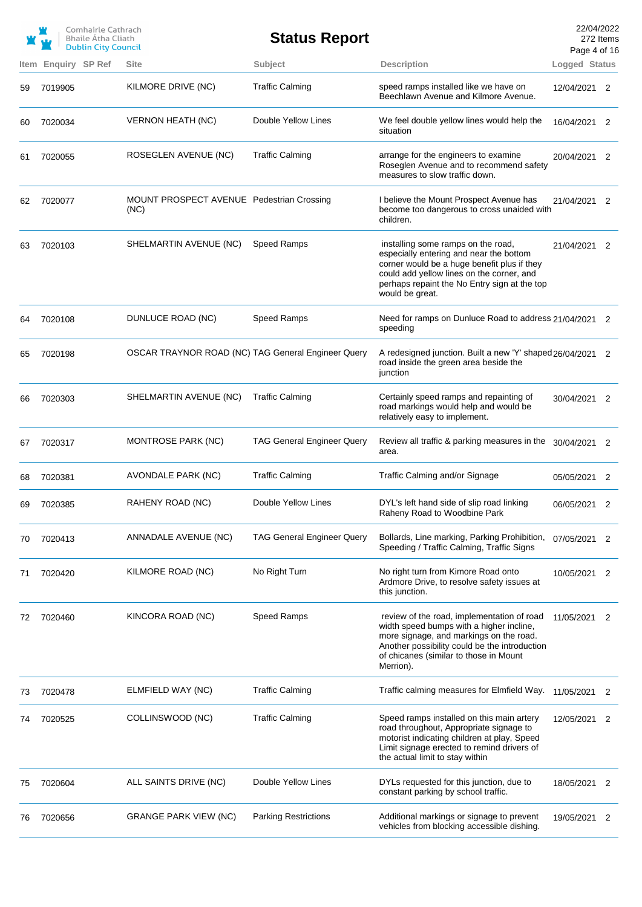|    |                     | Comhairle Cathrach<br><b>Bhaile Atha Cliath</b><br><b>Dublin City Council</b> |                                                    | <b>Status Report</b>              |                                                                                                                                                                                                                                              | 22/04/2022<br>272 Items<br>Page 4 of 16 |                            |
|----|---------------------|-------------------------------------------------------------------------------|----------------------------------------------------|-----------------------------------|----------------------------------------------------------------------------------------------------------------------------------------------------------------------------------------------------------------------------------------------|-----------------------------------------|----------------------------|
|    | Item Enquiry SP Ref |                                                                               | <b>Site</b>                                        | Subject                           | <b>Description</b>                                                                                                                                                                                                                           | Logged Status                           |                            |
| 59 | 7019905             |                                                                               | KILMORE DRIVE (NC)                                 | <b>Traffic Calming</b>            | speed ramps installed like we have on<br>Beechlawn Avenue and Kilmore Avenue.                                                                                                                                                                | 12/04/2021 2                            |                            |
| 60 | 7020034             |                                                                               | <b>VERNON HEATH (NC)</b>                           | Double Yellow Lines               | We feel double yellow lines would help the<br>situation                                                                                                                                                                                      | 16/04/2021 2                            |                            |
| 61 | 7020055             |                                                                               | ROSEGLEN AVENUE (NC)                               | <b>Traffic Calming</b>            | arrange for the engineers to examine<br>Roseglen Avenue and to recommend safety<br>measures to slow traffic down.                                                                                                                            | 20/04/2021 2                            |                            |
| 62 | 7020077             |                                                                               | MOUNT PROSPECT AVENUE Pedestrian Crossing<br>(NC)  |                                   | I believe the Mount Prospect Avenue has<br>become too dangerous to cross unaided with<br>children.                                                                                                                                           | 21/04/2021 2                            |                            |
| 63 | 7020103             |                                                                               | SHELMARTIN AVENUE (NC)                             | Speed Ramps                       | installing some ramps on the road,<br>especially entering and near the bottom<br>corner would be a huge benefit plus if they<br>could add yellow lines on the corner, and<br>perhaps repaint the No Entry sign at the top<br>would be great. | 21/04/2021 2                            |                            |
| 64 | 7020108             |                                                                               | DUNLUCE ROAD (NC)                                  | Speed Ramps                       | Need for ramps on Dunluce Road to address 21/04/2021 2<br>speeding                                                                                                                                                                           |                                         |                            |
| 65 | 7020198             |                                                                               | OSCAR TRAYNOR ROAD (NC) TAG General Engineer Query |                                   | A redesigned junction. Built a new 'Y' shaped 26/04/2021 2<br>road inside the green area beside the<br>junction                                                                                                                              |                                         |                            |
| 66 | 7020303             |                                                                               | SHELMARTIN AVENUE (NC)                             | <b>Traffic Calming</b>            | Certainly speed ramps and repainting of<br>road markings would help and would be<br>relatively easy to implement.                                                                                                                            | 30/04/2021 2                            |                            |
| 67 | 7020317             |                                                                               | MONTROSE PARK (NC)                                 | <b>TAG General Engineer Query</b> | Review all traffic & parking measures in the 30/04/2021 2<br>area.                                                                                                                                                                           |                                         |                            |
| 68 | 7020381             |                                                                               | AVONDALE PARK (NC)                                 | <b>Traffic Calming</b>            | Traffic Calming and/or Signage                                                                                                                                                                                                               | 05/05/2021 2                            |                            |
| 69 | 7020385             |                                                                               | RAHENY ROAD (NC)                                   | Double Yellow Lines               | DYL's left hand side of slip road linking<br>Raheny Road to Woodbine Park                                                                                                                                                                    | 06/05/2021                              |                            |
| 70 | 7020413             |                                                                               | ANNADALE AVENUE (NC)                               | <b>TAG General Engineer Query</b> | Bollards, Line marking, Parking Prohibition,<br>Speeding / Traffic Calming, Traffic Signs                                                                                                                                                    | 07/05/2021                              | 2                          |
| 71 | 7020420             |                                                                               | KILMORE ROAD (NC)                                  | No Right Turn                     | No right turn from Kimore Road onto<br>Ardmore Drive, to resolve safety issues at<br>this junction.                                                                                                                                          | 10/05/2021                              | $\overline{\phantom{0}}^2$ |
| 72 | 7020460             |                                                                               | KINCORA ROAD (NC)                                  | <b>Speed Ramps</b>                | review of the road, implementation of road<br>width speed bumps with a higher incline,<br>more signage, and markings on the road.<br>Another possibility could be the introduction<br>of chicanes (similar to those in Mount<br>Merrion).    | 11/05/2021                              | 2                          |
| 73 | 7020478             |                                                                               | ELMFIELD WAY (NC)                                  | <b>Traffic Calming</b>            | Traffic calming measures for Elmfield Way.                                                                                                                                                                                                   | 11/05/2021                              | 2                          |
| 74 | 7020525             |                                                                               | COLLINSWOOD (NC)                                   | <b>Traffic Calming</b>            | Speed ramps installed on this main artery<br>road throughout, Appropriate signage to<br>motorist indicating children at play, Speed<br>Limit signage erected to remind drivers of<br>the actual limit to stay within                         | 12/05/2021                              | 2                          |
| 75 | 7020604             |                                                                               | ALL SAINTS DRIVE (NC)                              | Double Yellow Lines               | DYLs requested for this junction, due to<br>constant parking by school traffic.                                                                                                                                                              | 18/05/2021                              | 2                          |
| 76 | 7020656             |                                                                               | <b>GRANGE PARK VIEW (NC)</b>                       | <b>Parking Restrictions</b>       | Additional markings or signage to prevent<br>vehicles from blocking accessible dishing.                                                                                                                                                      | 19/05/2021                              | 2                          |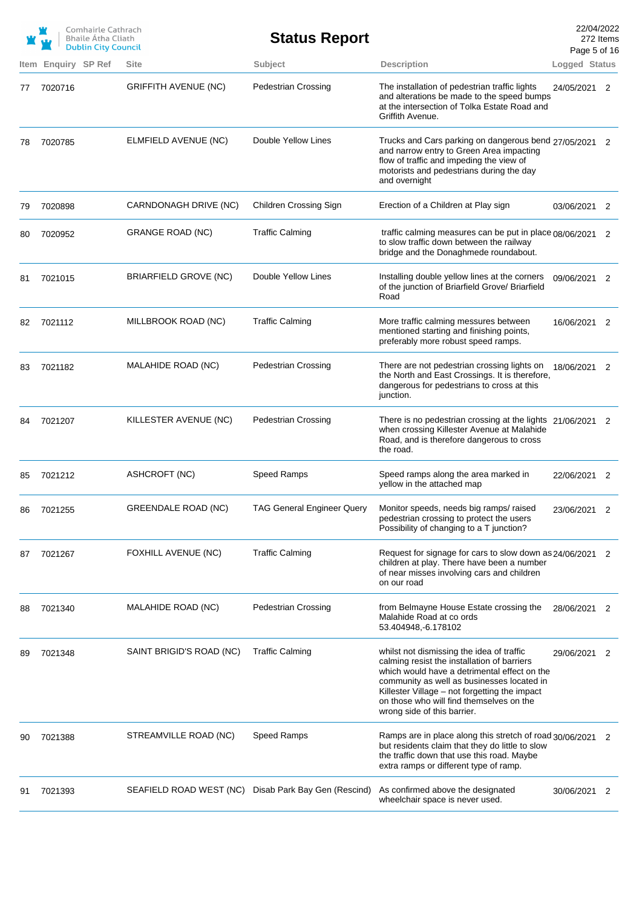|    |                     | Comhairle Cathrach<br><b>Bhaile Atha Cliath</b><br><b>Dublin City Council</b> |                              | <b>Status Report</b>         |                                                                                                                                                                                                                                                                                                                    | Page 5 of 16  | 22/04/2022<br>272 Items |
|----|---------------------|-------------------------------------------------------------------------------|------------------------------|------------------------------|--------------------------------------------------------------------------------------------------------------------------------------------------------------------------------------------------------------------------------------------------------------------------------------------------------------------|---------------|-------------------------|
|    | Item Enquiry SP Ref |                                                                               | <b>Site</b>                  | Subject                      | <b>Description</b>                                                                                                                                                                                                                                                                                                 | Logged Status |                         |
| 77 | 7020716             |                                                                               | <b>GRIFFITH AVENUE (NC)</b>  | <b>Pedestrian Crossing</b>   | The installation of pedestrian traffic lights<br>and alterations be made to the speed bumps<br>at the intersection of Tolka Estate Road and<br>Griffith Avenue.                                                                                                                                                    | 24/05/2021    | 2                       |
| 78 | 7020785             |                                                                               | ELMFIELD AVENUE (NC)         | Double Yellow Lines          | Trucks and Cars parking on dangerous bend 27/05/2021 2<br>and narrow entry to Green Area impacting<br>flow of traffic and impeding the view of<br>motorists and pedestrians during the day<br>and overnight                                                                                                        |               |                         |
| 79 | 7020898             |                                                                               | CARNDONAGH DRIVE (NC)        | Children Crossing Sign       | Erection of a Children at Play sign                                                                                                                                                                                                                                                                                | 03/06/2021 2  |                         |
| 80 | 7020952             |                                                                               | GRANGE ROAD (NC)             | <b>Traffic Calming</b>       | traffic calming measures can be put in place 08/06/2021 2<br>to slow traffic down between the railway<br>bridge and the Donaghmede roundabout.                                                                                                                                                                     |               |                         |
| 81 | 7021015             |                                                                               | <b>BRIARFIELD GROVE (NC)</b> | Double Yellow Lines          | Installing double yellow lines at the corners<br>of the junction of Briarfield Grove/ Briarfield<br>Road                                                                                                                                                                                                           | 09/06/2021 2  |                         |
| 82 | 7021112             |                                                                               | MILLBROOK ROAD (NC)          | <b>Traffic Calming</b>       | More traffic calming messures between<br>mentioned starting and finishing points,<br>preferably more robust speed ramps.                                                                                                                                                                                           | 16/06/2021 2  |                         |
| 83 | 7021182             |                                                                               | MALAHIDE ROAD (NC)           | <b>Pedestrian Crossing</b>   | There are not pedestrian crossing lights on<br>the North and East Crossings. It is therefore,<br>dangerous for pedestrians to cross at this<br>junction.                                                                                                                                                           | 18/06/2021 2  |                         |
| 84 | 7021207             |                                                                               | KILLESTER AVENUE (NC)        | <b>Pedestrian Crossing</b>   | There is no pedestrian crossing at the lights 21/06/2021 2<br>when crossing Killester Avenue at Malahide<br>Road, and is therefore dangerous to cross<br>the road.                                                                                                                                                 |               |                         |
| 85 | 7021212             |                                                                               | ASHCROFT (NC)                | Speed Ramps                  | Speed ramps along the area marked in<br>yellow in the attached map                                                                                                                                                                                                                                                 | 22/06/2021 2  |                         |
| 86 | 7021255             |                                                                               | <b>GREENDALE ROAD (NC)</b>   |                              | TAG General Engineer Query    Monitor speeds, needs big ramps/ raised<br>pedestrian crossing to protect the users<br>Possibility of changing to a T junction?                                                                                                                                                      | 23/06/2021    |                         |
| 87 | 7021267             |                                                                               | FOXHILL AVENUE (NC)          | <b>Traffic Calming</b>       | Request for signage for cars to slow down as 24/06/2021 2<br>children at play. There have been a number<br>of near misses involving cars and children<br>on our road                                                                                                                                               |               |                         |
| 88 | 7021340             |                                                                               | MALAHIDE ROAD (NC)           | <b>Pedestrian Crossing</b>   | from Belmayne House Estate crossing the<br>Malahide Road at co ords<br>53.404948, 6.178102                                                                                                                                                                                                                         | 28/06/2021 2  |                         |
| 89 | 7021348             |                                                                               | SAINT BRIGID'S ROAD (NC)     | <b>Traffic Calming</b>       | whilst not dismissing the idea of traffic<br>calming resist the installation of barriers<br>which would have a detrimental effect on the<br>community as well as businesses located in<br>Killester Village – not forgetting the impact<br>on those who will find themselves on the<br>wrong side of this barrier. | 29/06/2021 2  |                         |
| 90 | 7021388             |                                                                               | STREAMVILLE ROAD (NC)        | Speed Ramps                  | Ramps are in place along this stretch of road 30/06/2021 2<br>but residents claim that they do little to slow<br>the traffic down that use this road. Maybe<br>extra ramps or different type of ramp.                                                                                                              |               |                         |
| 91 | 7021393             |                                                                               | SEAFIELD ROAD WEST (NC)      | Disab Park Bay Gen (Rescind) | As confirmed above the designated<br>wheelchair space is never used.                                                                                                                                                                                                                                               | 30/06/2021 2  |                         |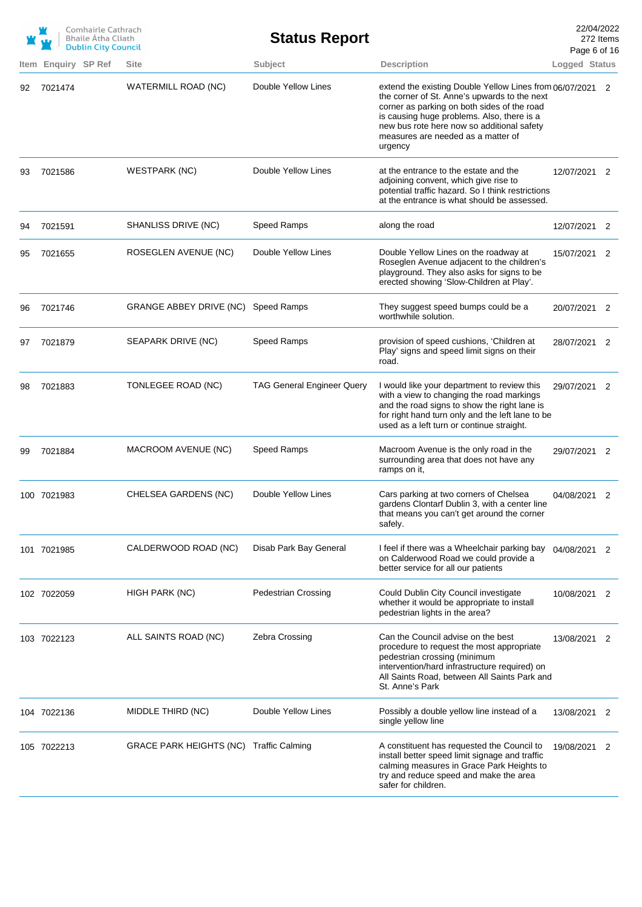|    |                     | Comhairle Cathrach<br><b>Bhaile Atha Cliath</b><br><b>Dublin City Council</b> |                                         | <b>Status Report</b>              |                                                                                                                                                                                                                                                                                                       | 22/04/2022<br>Page 6 of 16 | 272 Items                  |
|----|---------------------|-------------------------------------------------------------------------------|-----------------------------------------|-----------------------------------|-------------------------------------------------------------------------------------------------------------------------------------------------------------------------------------------------------------------------------------------------------------------------------------------------------|----------------------------|----------------------------|
|    | Item Enquiry SP Ref |                                                                               | <b>Site</b>                             | Subject                           | <b>Description</b>                                                                                                                                                                                                                                                                                    | Logged Status              |                            |
| 92 | 7021474             |                                                                               | WATERMILL ROAD (NC)                     | Double Yellow Lines               | extend the existing Double Yellow Lines from 06/07/2021 2<br>the corner of St. Anne's upwards to the next<br>corner as parking on both sides of the road<br>is causing huge problems. Also, there is a<br>new bus rote here now so additional safety<br>measures are needed as a matter of<br>urgency |                            |                            |
| 93 | 7021586             |                                                                               | <b>WESTPARK (NC)</b>                    | Double Yellow Lines               | at the entrance to the estate and the<br>adjoining convent, which give rise to<br>potential traffic hazard. So I think restrictions<br>at the entrance is what should be assessed.                                                                                                                    | 12/07/2021 2               |                            |
| 94 | 7021591             |                                                                               | SHANLISS DRIVE (NC)                     | Speed Ramps                       | along the road                                                                                                                                                                                                                                                                                        | 12/07/2021 2               |                            |
| 95 | 7021655             |                                                                               | ROSEGLEN AVENUE (NC)                    | Double Yellow Lines               | Double Yellow Lines on the roadway at<br>Roseglen Avenue adjacent to the children's<br>playground. They also asks for signs to be<br>erected showing 'Slow-Children at Play'.                                                                                                                         | 15/07/2021 2               |                            |
| 96 | 7021746             |                                                                               | GRANGE ABBEY DRIVE (NC) Speed Ramps     |                                   | They suggest speed bumps could be a<br>worthwhile solution.                                                                                                                                                                                                                                           | 20/07/2021 2               |                            |
| 97 | 7021879             |                                                                               | SEAPARK DRIVE (NC)                      | Speed Ramps                       | provision of speed cushions, 'Children at<br>Play' signs and speed limit signs on their<br>road.                                                                                                                                                                                                      | 28/07/2021 2               |                            |
| 98 | 7021883             |                                                                               | TONLEGEE ROAD (NC)                      | <b>TAG General Engineer Query</b> | I would like your department to review this<br>with a view to changing the road markings<br>and the road signs to show the right lane is<br>for right hand turn only and the left lane to be<br>used as a left turn or continue straight.                                                             | 29/07/2021 2               |                            |
| 99 | 7021884             |                                                                               | MACROOM AVENUE (NC)                     | Speed Ramps                       | Macroom Avenue is the only road in the<br>surrounding area that does not have any<br>ramps on it,                                                                                                                                                                                                     | 29/07/2021                 | $\overline{\phantom{0}}^2$ |
|    | 100 7021983         |                                                                               | CHELSEA GARDENS (NC)                    | Double Yellow Lines               | Cars parking at two corners of Chelsea<br>gardens Clontarf Dublin 3, with a center line<br>that means you can't get around the corner<br>safely.                                                                                                                                                      | 04/08/2021 2               |                            |
|    | 101 7021985         |                                                                               | CALDERWOOD ROAD (NC)                    | Disab Park Bay General            | I feel if there was a Wheelchair parking bay<br>on Calderwood Road we could provide a<br>better service for all our patients                                                                                                                                                                          | 04/08/2021 2               |                            |
|    | 102 7022059         |                                                                               | HIGH PARK (NC)                          | <b>Pedestrian Crossing</b>        | Could Dublin City Council investigate<br>whether it would be appropriate to install<br>pedestrian lights in the area?                                                                                                                                                                                 | 10/08/2021 2               |                            |
|    | 103 7022123         |                                                                               | ALL SAINTS ROAD (NC)                    | Zebra Crossing                    | Can the Council advise on the best<br>procedure to request the most appropriate<br>pedestrian crossing (minimum<br>intervention/hard infrastructure required) on<br>All Saints Road, between All Saints Park and<br>St. Anne's Park                                                                   | 13/08/2021                 | 2                          |
|    | 104 7022136         |                                                                               | MIDDLE THIRD (NC)                       | Double Yellow Lines               | Possibly a double yellow line instead of a<br>single yellow line                                                                                                                                                                                                                                      | 13/08/2021                 | 2                          |
|    | 105 7022213         |                                                                               | GRACE PARK HEIGHTS (NC) Traffic Calming |                                   | A constituent has requested the Council to<br>install better speed limit signage and traffic<br>calming measures in Grace Park Heights to<br>try and reduce speed and make the area<br>safer for children.                                                                                            | 19/08/2021                 | 2                          |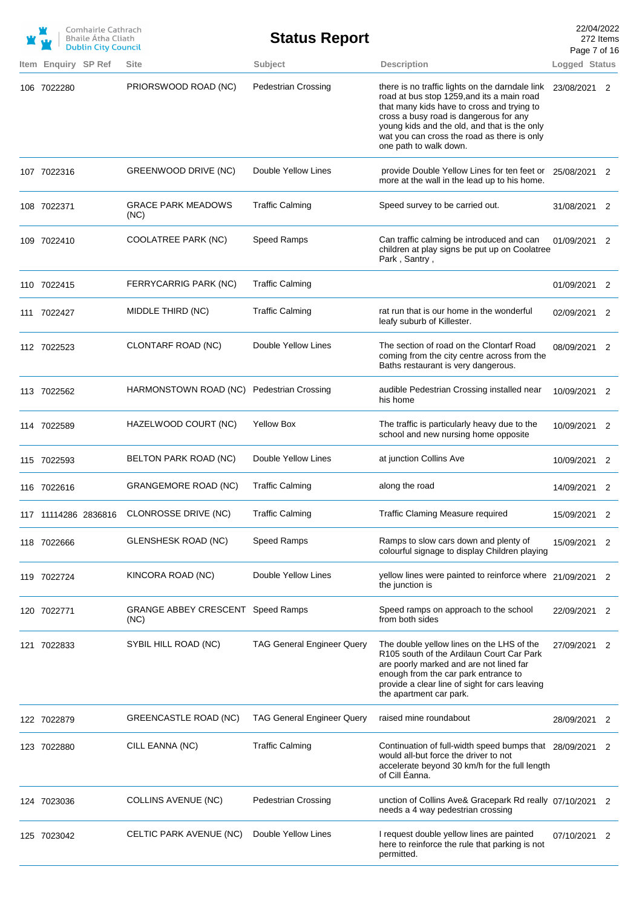| Item Enquiry SP Ref<br>106 7022280 | <b>Dublin City Council</b> | <b>Site</b>                                      | <b>Status Report</b>              |                                                                                                                                                                                                                                                                                                                | Page 7 of 16  | 272 Items |
|------------------------------------|----------------------------|--------------------------------------------------|-----------------------------------|----------------------------------------------------------------------------------------------------------------------------------------------------------------------------------------------------------------------------------------------------------------------------------------------------------------|---------------|-----------|
|                                    |                            |                                                  |                                   |                                                                                                                                                                                                                                                                                                                |               |           |
|                                    |                            |                                                  | Subject                           | <b>Description</b>                                                                                                                                                                                                                                                                                             | Logged Status |           |
|                                    |                            | PRIORSWOOD ROAD (NC)                             | <b>Pedestrian Crossing</b>        | there is no traffic lights on the darndale link<br>road at bus stop 1259, and its a main road<br>that many kids have to cross and trying to<br>cross a busy road is dangerous for any<br>young kids and the old, and that is the only<br>wat you can cross the road as there is only<br>one path to walk down. | 23/08/2021    | 2         |
| 107 7022316                        |                            | GREENWOOD DRIVE (NC)                             | Double Yellow Lines               | provide Double Yellow Lines for ten feet or<br>more at the wall in the lead up to his home.                                                                                                                                                                                                                    | 25/08/2021 2  |           |
| 108 7022371                        |                            | <b>GRACE PARK MEADOWS</b><br>(NC)                | <b>Traffic Calming</b>            | Speed survey to be carried out.                                                                                                                                                                                                                                                                                | 31/08/2021 2  |           |
| 109 7022410                        |                            | COOLATREE PARK (NC)                              | Speed Ramps                       | Can traffic calming be introduced and can<br>children at play signs be put up on Coolatree<br>Park , Santry ,                                                                                                                                                                                                  | 01/09/2021 2  |           |
| 110 7022415                        |                            | FERRYCARRIG PARK (NC)                            | <b>Traffic Calming</b>            |                                                                                                                                                                                                                                                                                                                | 01/09/2021    | 2         |
| 111 7022427                        |                            | MIDDLE THIRD (NC)                                | <b>Traffic Calming</b>            | rat run that is our home in the wonderful<br>leafy suburb of Killester.                                                                                                                                                                                                                                        | 02/09/2021    | 2         |
| 112 7022523                        |                            | CLONTARF ROAD (NC)                               | Double Yellow Lines               | The section of road on the Clontarf Road<br>coming from the city centre across from the<br>Baths restaurant is very dangerous.                                                                                                                                                                                 | 08/09/2021 2  |           |
| 113 7022562                        |                            | HARMONSTOWN ROAD (NC) Pedestrian Crossing        |                                   | audible Pedestrian Crossing installed near<br>his home                                                                                                                                                                                                                                                         | 10/09/2021 2  |           |
| 114 7022589                        |                            | HAZELWOOD COURT (NC)                             | <b>Yellow Box</b>                 | The traffic is particularly heavy due to the<br>school and new nursing home opposite                                                                                                                                                                                                                           | 10/09/2021 2  |           |
| 115 7022593                        |                            | BELTON PARK ROAD (NC)                            | Double Yellow Lines               | at junction Collins Ave                                                                                                                                                                                                                                                                                        | 10/09/2021 2  |           |
| 116 7022616                        |                            | <b>GRANGEMORE ROAD (NC)</b>                      | <b>Traffic Calming</b>            | along the road                                                                                                                                                                                                                                                                                                 | 14/09/2021 2  |           |
| 117 11114286 2836816               |                            | CLONROSSE DRIVE (NC)                             | <b>Traffic Calming</b>            | <b>Traffic Claming Measure required</b>                                                                                                                                                                                                                                                                        | 15/09/2021 2  |           |
| 118 7022666                        |                            | <b>GLENSHESK ROAD (NC)</b>                       | Speed Ramps                       | Ramps to slow cars down and plenty of<br>colourful signage to display Children playing                                                                                                                                                                                                                         | 15/09/2021    | 2         |
| 119 7022724                        |                            | KINCORA ROAD (NC)                                | Double Yellow Lines               | yellow lines were painted to reinforce where 21/09/2021<br>the junction is                                                                                                                                                                                                                                     |               | 2         |
| 120 7022771                        |                            | <b>GRANGE ABBEY CRESCENT Speed Ramps</b><br>(NC) |                                   | Speed ramps on approach to the school<br>from both sides                                                                                                                                                                                                                                                       | 22/09/2021    | 2         |
| 121 7022833                        |                            | SYBIL HILL ROAD (NC)                             | <b>TAG General Engineer Query</b> | The double yellow lines on the LHS of the<br>R105 south of the Ardilaun Court Car Park<br>are poorly marked and are not lined far<br>enough from the car park entrance to<br>provide a clear line of sight for cars leaving<br>the apartment car park.                                                         | 27/09/2021    | 2         |
| 122 7022879                        |                            | GREENCASTLE ROAD (NC)                            | <b>TAG General Engineer Query</b> | raised mine roundabout                                                                                                                                                                                                                                                                                         | 28/09/2021    | 2         |
| 123 7022880                        |                            | CILL EANNA (NC)                                  | <b>Traffic Calming</b>            | Continuation of full-width speed bumps that 28/09/2021 2<br>would all-but force the driver to not<br>accelerate beyond 30 km/h for the full length<br>of Cill Eanna.                                                                                                                                           |               |           |
| 124 7023036                        |                            | <b>COLLINS AVENUE (NC)</b>                       | <b>Pedestrian Crossing</b>        | unction of Collins Ave& Gracepark Rd really 07/10/2021 2<br>needs a 4 way pedestrian crossing                                                                                                                                                                                                                  |               |           |
| 125 7023042                        |                            | CELTIC PARK AVENUE (NC)                          | Double Yellow Lines               | I request double yellow lines are painted<br>here to reinforce the rule that parking is not<br>permitted.                                                                                                                                                                                                      | 07/10/2021    | 2         |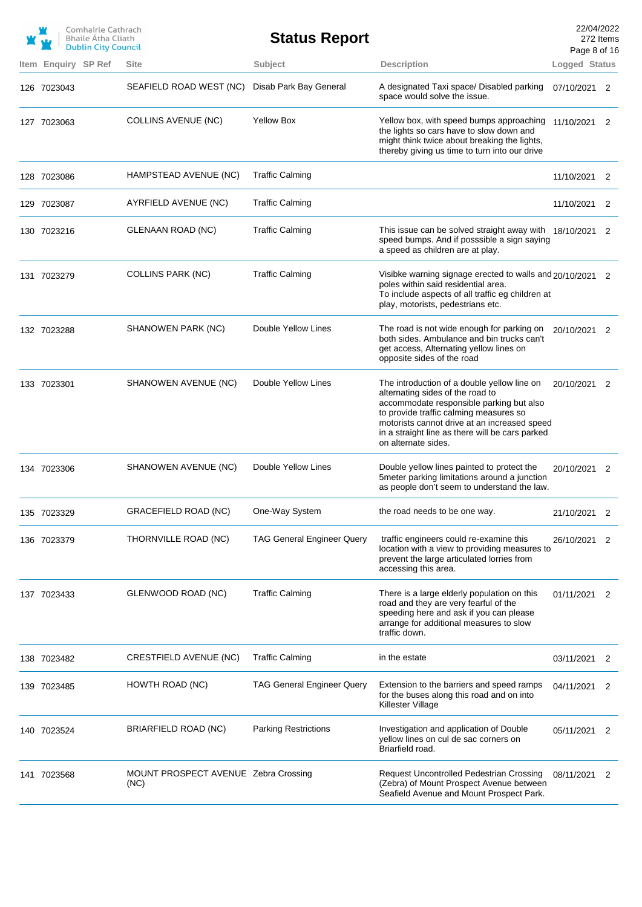|                            | Comhairle Cathrach<br><b>Bhaile Átha Cliath</b><br><b>Dublin City Council</b> |                                              | <b>Status Report</b>              |                                                                                                                                                                                                                                                                                                 | 22/04/2022<br>272 Items<br>Page 8 of 16 |   |
|----------------------------|-------------------------------------------------------------------------------|----------------------------------------------|-----------------------------------|-------------------------------------------------------------------------------------------------------------------------------------------------------------------------------------------------------------------------------------------------------------------------------------------------|-----------------------------------------|---|
| <b>Item Enguiry SP Ref</b> |                                                                               | <b>Site</b>                                  | Subject                           | <b>Description</b>                                                                                                                                                                                                                                                                              | Logged Status                           |   |
| 126 7023043                |                                                                               | SEAFIELD ROAD WEST (NC)                      | Disab Park Bay General            | A designated Taxi space/ Disabled parking<br>space would solve the issue.                                                                                                                                                                                                                       | 07/10/2021 2                            |   |
| 127 7023063                |                                                                               | <b>COLLINS AVENUE (NC)</b>                   | <b>Yellow Box</b>                 | Yellow box, with speed bumps approaching<br>the lights so cars have to slow down and<br>might think twice about breaking the lights,<br>thereby giving us time to turn into our drive                                                                                                           | 11/10/2021                              | 2 |
| 128 7023086                |                                                                               | HAMPSTEAD AVENUE (NC)                        | <b>Traffic Calming</b>            |                                                                                                                                                                                                                                                                                                 | 11/10/2021                              | 2 |
| 129 7023087                |                                                                               | AYRFIELD AVENUE (NC)                         | <b>Traffic Calming</b>            |                                                                                                                                                                                                                                                                                                 | 11/10/2021                              | 2 |
| 130 7023216                |                                                                               | GLENAAN ROAD (NC)                            | <b>Traffic Calming</b>            | This issue can be solved straight away with 18/10/2021<br>speed bumps. And if posssible a sign saying<br>a speed as children are at play.                                                                                                                                                       |                                         | 2 |
| 131 7023279                |                                                                               | <b>COLLINS PARK (NC)</b>                     | <b>Traffic Calming</b>            | Visibke warning signage erected to walls and 20/10/2021 2<br>poles within said residential area.<br>To include aspects of all traffic eg children at<br>play, motorists, pedestrians etc.                                                                                                       |                                         |   |
| 132 7023288                |                                                                               | SHANOWEN PARK (NC)                           | Double Yellow Lines               | The road is not wide enough for parking on<br>both sides. Ambulance and bin trucks can't<br>get access, Alternating yellow lines on<br>opposite sides of the road                                                                                                                               | 20/10/2021                              | 2 |
| 133 7023301                |                                                                               | SHANOWEN AVENUE (NC)                         | Double Yellow Lines               | The introduction of a double yellow line on<br>alternating sides of the road to<br>accommodate responsible parking but also<br>to provide traffic calming measures so<br>motorists cannot drive at an increased speed<br>in a straight line as there will be cars parked<br>on alternate sides. | 20/10/2021 2                            |   |
| 134 7023306                |                                                                               | SHANOWEN AVENUE (NC)                         | Double Yellow Lines               | Double yellow lines painted to protect the<br>5meter parking limitations around a junction<br>as people don't seem to understand the law.                                                                                                                                                       | 20/10/2021 2                            |   |
| 135 7023329                |                                                                               | GRACEFIELD ROAD (NC)                         | One-Way System                    | the road needs to be one way.                                                                                                                                                                                                                                                                   | 21/10/2021 2                            |   |
| 136 7023379                |                                                                               | THORNVILLE ROAD (NC)                         | <b>TAG General Engineer Query</b> | traffic engineers could re-examine this<br>location with a view to providing measures to<br>prevent the large articulated lorries from<br>accessing this area.                                                                                                                                  | 26/10/2021 2                            |   |
| 137 7023433                |                                                                               | GLENWOOD ROAD (NC)                           | <b>Traffic Calming</b>            | There is a large elderly population on this<br>road and they are very fearful of the<br>speeding here and ask if you can please<br>arrange for additional measures to slow<br>traffic down.                                                                                                     | 01/11/2021 2                            |   |
| 138 7023482                |                                                                               | CRESTFIELD AVENUE (NC)                       | <b>Traffic Calming</b>            | in the estate                                                                                                                                                                                                                                                                                   | 03/11/2021                              | 2 |
| 139 7023485                |                                                                               | HOWTH ROAD (NC)                              | <b>TAG General Engineer Query</b> | Extension to the barriers and speed ramps<br>for the buses along this road and on into<br>Killester Village                                                                                                                                                                                     | 04/11/2021                              | 2 |
| 140 7023524                |                                                                               | BRIARFIELD ROAD (NC)                         | <b>Parking Restrictions</b>       | Investigation and application of Double<br>yellow lines on cul de sac corners on<br>Briarfield road.                                                                                                                                                                                            | 05/11/2021 2                            |   |
| 141 7023568                |                                                                               | MOUNT PROSPECT AVENUE Zebra Crossing<br>(NC) |                                   | Request Uncontrolled Pedestrian Crossing<br>(Zebra) of Mount Prospect Avenue between<br>Seafield Avenue and Mount Prospect Park.                                                                                                                                                                | 08/11/2021 2                            |   |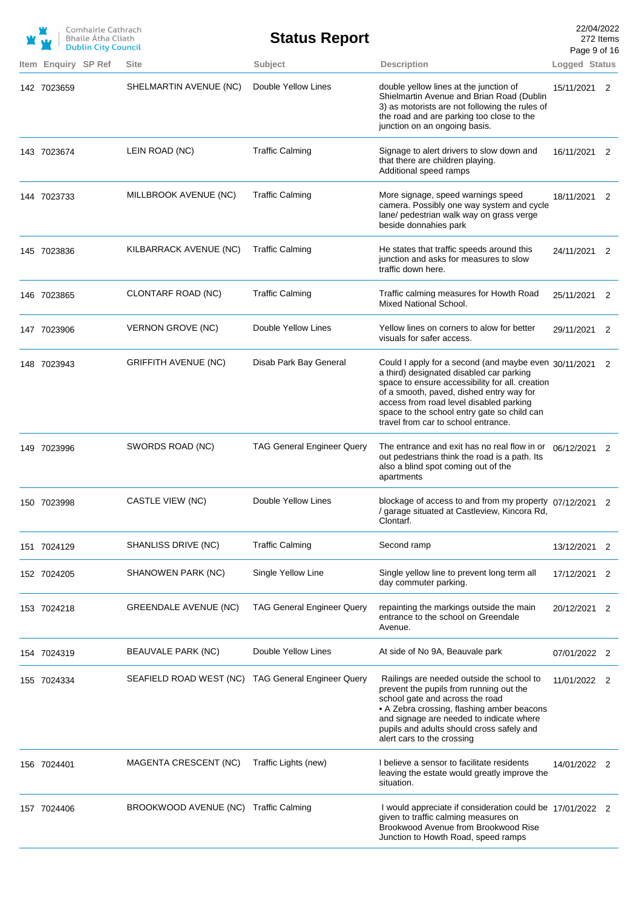|                     | Comhairle Cathrach<br>Bhaile Átha Cliath<br><b>Dublin City Council</b> |                              | <b>Status Report</b>              |                                                                                                                                                                                                                                                                                                                                     | 22/04/2022<br>Page 9 of 16 | 272 Items |
|---------------------|------------------------------------------------------------------------|------------------------------|-----------------------------------|-------------------------------------------------------------------------------------------------------------------------------------------------------------------------------------------------------------------------------------------------------------------------------------------------------------------------------------|----------------------------|-----------|
| Item Enquiry SP Ref |                                                                        | Site                         | Subject                           | <b>Description</b>                                                                                                                                                                                                                                                                                                                  | Logged Status              |           |
| 142 7023659         |                                                                        | SHELMARTIN AVENUE (NC)       | Double Yellow Lines               | double yellow lines at the junction of<br>Shielmartin Avenue and Brian Road (Dublin<br>3) as motorists are not following the rules of<br>the road and are parking too close to the<br>junction on an ongoing basis.                                                                                                                 | 15/11/2021 2               |           |
| 143 7023674         |                                                                        | LEIN ROAD (NC)               | <b>Traffic Calming</b>            | Signage to alert drivers to slow down and<br>that there are children playing.<br>Additional speed ramps                                                                                                                                                                                                                             | 16/11/2021 2               |           |
| 144 7023733         |                                                                        | MILLBROOK AVENUE (NC)        | <b>Traffic Calming</b>            | More signage, speed warnings speed<br>camera. Possibly one way system and cycle<br>lane/ pedestrian walk way on grass verge<br>beside donnahies park                                                                                                                                                                                | 18/11/2021 2               |           |
| 145 7023836         |                                                                        | KILBARRACK AVENUE (NC)       | <b>Traffic Calming</b>            | He states that traffic speeds around this<br>junction and asks for measures to slow<br>traffic down here.                                                                                                                                                                                                                           | 24/11/2021 2               |           |
| 146 7023865         |                                                                        | CLONTARF ROAD (NC)           | <b>Traffic Calming</b>            | Traffic calming measures for Howth Road<br>Mixed National School.                                                                                                                                                                                                                                                                   | 25/11/2021 2               |           |
| 147 7023906         |                                                                        | VERNON GROVE (NC)            | Double Yellow Lines               | Yellow lines on corners to alow for better<br>visuals for safer access.                                                                                                                                                                                                                                                             | 29/11/2021 2               |           |
| 148 7023943         |                                                                        | <b>GRIFFITH AVENUE (NC)</b>  | Disab Park Bay General            | Could I apply for a second (and maybe even 30/11/2021 2<br>a third) designated disabled car parking<br>space to ensure accessibility for all. creation<br>of a smooth, paved, dished entry way for<br>access from road level disabled parking<br>space to the school entry gate so child can<br>travel from car to school entrance. |                            |           |
| 149 7023996         |                                                                        | SWORDS ROAD (NC)             | <b>TAG General Engineer Query</b> | The entrance and exit has no real flow in or $06/12/2021$ 2<br>out pedestrians think the road is a path. Its<br>also a blind spot coming out of the<br>apartments                                                                                                                                                                   |                            |           |
| 150 7023998         |                                                                        | <b>CASTLE VIEW (NC)</b>      | Double Yellow Lines               | blockage of access to and from my property 07/12/2021<br>/ garage situated at Castleview, Kincora Rd,<br>Clontarf.                                                                                                                                                                                                                  |                            |           |
| 151 7024129         |                                                                        | SHANLISS DRIVE (NC)          | <b>Traffic Calming</b>            | Second ramp                                                                                                                                                                                                                                                                                                                         | 13/12/2021                 | 2         |
| 152 7024205         |                                                                        | SHANOWEN PARK (NC)           | Single Yellow Line                | Single yellow line to prevent long term all<br>day commuter parking.                                                                                                                                                                                                                                                                | 17/12/2021 2               |           |
| 153 7024218         |                                                                        | <b>GREENDALE AVENUE (NC)</b> | <b>TAG General Engineer Query</b> | repainting the markings outside the main<br>entrance to the school on Greendale<br>Avenue.                                                                                                                                                                                                                                          | 20/12/2021                 | 2         |
| 154 7024319         |                                                                        | BEAUVALE PARK (NC)           | Double Yellow Lines               | At side of No 9A, Beauvale park                                                                                                                                                                                                                                                                                                     | 07/01/2022 2               |           |
| 155 7024334         |                                                                        | SEAFIELD ROAD WEST (NC)      | <b>TAG General Engineer Query</b> | Railings are needed outside the school to<br>prevent the pupils from running out the<br>school gate and across the road<br>• A Zebra crossing, flashing amber beacons<br>and signage are needed to indicate where<br>pupils and adults should cross safely and<br>alert cars to the crossing                                        | 11/01/2022 2               |           |
| 156 7024401         |                                                                        | MAGENTA CRESCENT (NC)        | Traffic Lights (new)              | I believe a sensor to facilitate residents<br>leaving the estate would greatly improve the<br>situation.                                                                                                                                                                                                                            | 14/01/2022 2               |           |
| 157 7024406         |                                                                        | BROOKWOOD AVENUE (NC)        | <b>Traffic Calming</b>            | I would appreciate if consideration could be 17/01/2022 2<br>given to traffic calming measures on<br>Brookwood Avenue from Brookwood Rise<br>Junction to Howth Road, speed ramps                                                                                                                                                    |                            |           |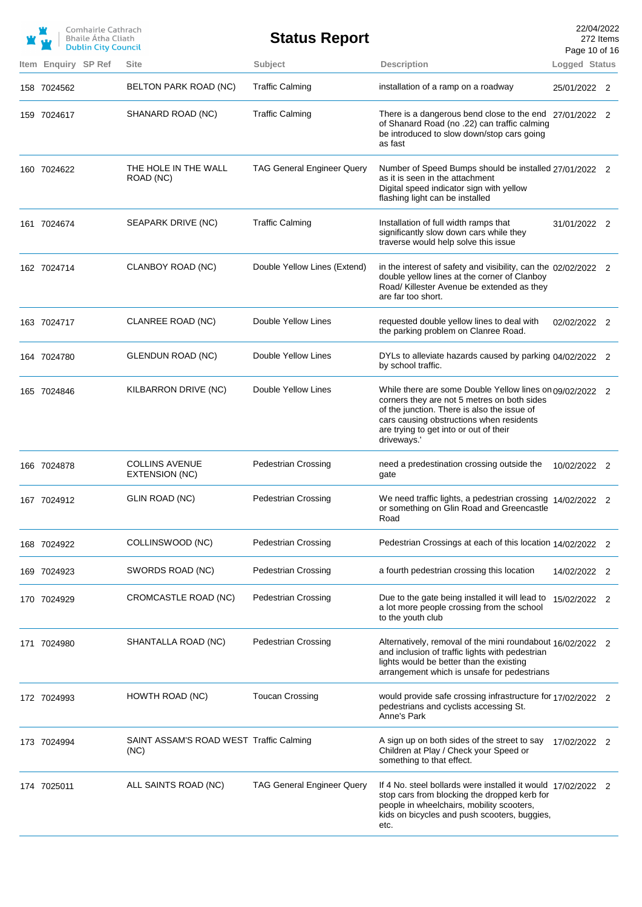|                     | Comhairle Cathrach<br>Bhaile Átha Cliath<br><b>Dublin City Council</b> |                                                 | <b>Status Report</b>              |                                                                                                                                                                                                                                                             | 22/04/2022<br>Page 10 of 16 | 272 Items |
|---------------------|------------------------------------------------------------------------|-------------------------------------------------|-----------------------------------|-------------------------------------------------------------------------------------------------------------------------------------------------------------------------------------------------------------------------------------------------------------|-----------------------------|-----------|
| Item Enquiry SP Ref |                                                                        | <b>Site</b>                                     | Subject                           | <b>Description</b>                                                                                                                                                                                                                                          | Logged Status               |           |
| 158 7024562         |                                                                        | BELTON PARK ROAD (NC)                           | <b>Traffic Calming</b>            | installation of a ramp on a roadway                                                                                                                                                                                                                         | 25/01/2022 2                |           |
| 159 7024617         |                                                                        | SHANARD ROAD (NC)                               | <b>Traffic Calming</b>            | There is a dangerous bend close to the end 27/01/2022 2<br>of Shanard Road (no .22) can traffic calming<br>be introduced to slow down/stop cars going<br>as fast                                                                                            |                             |           |
| 160 7024622         |                                                                        | THE HOLE IN THE WALL<br>ROAD (NC)               | <b>TAG General Engineer Query</b> | Number of Speed Bumps should be installed 27/01/2022 2<br>as it is seen in the attachment<br>Digital speed indicator sign with yellow<br>flashing light can be installed                                                                                    |                             |           |
| 161 7024674         |                                                                        | SEAPARK DRIVE (NC)                              | <b>Traffic Calming</b>            | Installation of full width ramps that<br>significantly slow down cars while they<br>traverse would help solve this issue                                                                                                                                    | 31/01/2022 2                |           |
| 162 7024714         |                                                                        | CLANBOY ROAD (NC)                               | Double Yellow Lines (Extend)      | in the interest of safety and visibility, can the $02/02/2022$ 2<br>double yellow lines at the corner of Clanboy<br>Road/Killester Avenue be extended as they<br>are far too short.                                                                         |                             |           |
| 163 7024717         |                                                                        | CLANREE ROAD (NC)                               | Double Yellow Lines               | requested double yellow lines to deal with<br>the parking problem on Clanree Road.                                                                                                                                                                          | 02/02/2022 2                |           |
| 164 7024780         |                                                                        | GLENDUN ROAD (NC)                               | Double Yellow Lines               | DYLs to alleviate hazards caused by parking 04/02/2022 2<br>by school traffic.                                                                                                                                                                              |                             |           |
| 165 7024846         |                                                                        | KILBARRON DRIVE (NC)                            | Double Yellow Lines               | While there are some Double Yellow lines on 09/02/2022 2<br>corners they are not 5 metres on both sides<br>of the junction. There is also the issue of<br>cars causing obstructions when residents<br>are trying to get into or out of their<br>driveways.' |                             |           |
| 166 7024878         |                                                                        | <b>COLLINS AVENUE</b><br>EXTENSION (NC)         | <b>Pedestrian Crossing</b>        | need a predestination crossing outside the<br>gate                                                                                                                                                                                                          | 10/02/2022 2                |           |
| 167 7024912         |                                                                        | GLIN ROAD (NC)                                  | <b>Pedestrian Crossing</b>        | We need traffic lights, a pedestrian crossing 14/02/2022 2<br>or something on Glin Road and Greencastle<br>Road                                                                                                                                             |                             |           |
| 168 7024922         |                                                                        | COLLINSWOOD (NC)                                | <b>Pedestrian Crossing</b>        | Pedestrian Crossings at each of this location 14/02/2022                                                                                                                                                                                                    |                             |           |
| 169 7024923         |                                                                        | SWORDS ROAD (NC)                                | <b>Pedestrian Crossing</b>        | a fourth pedestrian crossing this location                                                                                                                                                                                                                  | 14/02/2022 2                |           |
| 170 7024929         |                                                                        | CROMCASTLE ROAD (NC)                            | <b>Pedestrian Crossing</b>        | Due to the gate being installed it will lead to<br>a lot more people crossing from the school<br>to the youth club                                                                                                                                          | 15/02/2022 2                |           |
| 171 7024980         |                                                                        | SHANTALLA ROAD (NC)                             | <b>Pedestrian Crossing</b>        | Alternatively, removal of the mini roundabout 16/02/2022 2<br>and inclusion of traffic lights with pedestrian<br>lights would be better than the existing<br>arrangement which is unsafe for pedestrians                                                    |                             |           |
| 172 7024993         |                                                                        | HOWTH ROAD (NC)                                 | <b>Toucan Crossing</b>            | would provide safe crossing infrastructure for 17/02/2022 2<br>pedestrians and cyclists accessing St.<br>Anne's Park                                                                                                                                        |                             |           |
| 173 7024994         |                                                                        | SAINT ASSAM'S ROAD WEST Traffic Calming<br>(NC) |                                   | A sign up on both sides of the street to say<br>Children at Play / Check your Speed or<br>something to that effect.                                                                                                                                         | 17/02/2022 2                |           |
| 174 7025011         |                                                                        | ALL SAINTS ROAD (NC)                            | <b>TAG General Engineer Query</b> | If 4 No. steel bollards were installed it would 17/02/2022 2<br>stop cars from blocking the dropped kerb for<br>people in wheelchairs, mobility scooters,<br>kids on bicycles and push scooters, buggies,<br>etc.                                           |                             |           |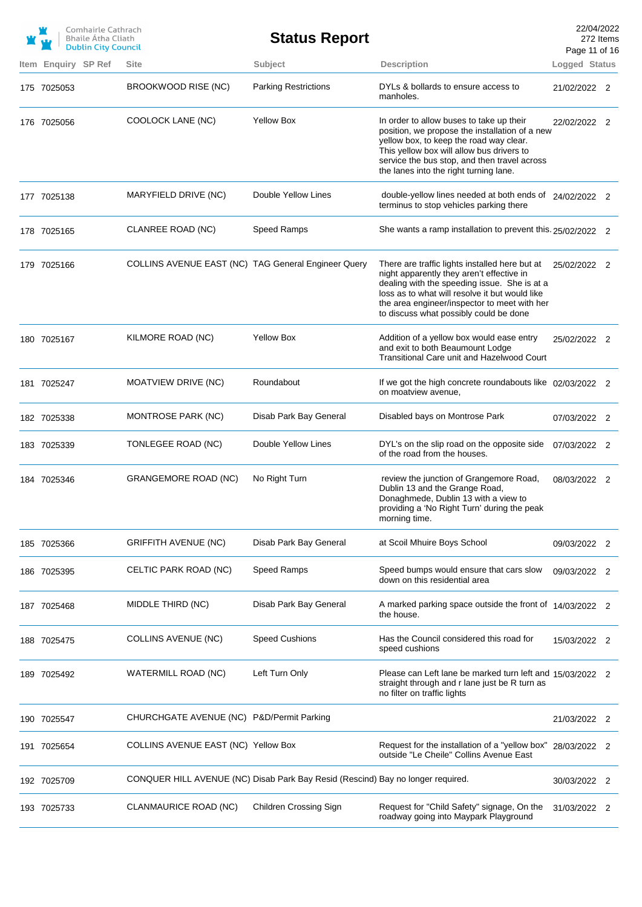|                     | Comhairle Cathrach<br><b>Bhaile Atha Cliath</b><br><b>Dublin City Council</b> |                                                     | <b>Status Report</b>                                                            |                                                                                                                                                                                                                                                                                         | 22/04/2022<br>272 Items<br>Page 11 of 16 |  |
|---------------------|-------------------------------------------------------------------------------|-----------------------------------------------------|---------------------------------------------------------------------------------|-----------------------------------------------------------------------------------------------------------------------------------------------------------------------------------------------------------------------------------------------------------------------------------------|------------------------------------------|--|
| Item Enquiry SP Ref |                                                                               | <b>Site</b>                                         | Subject                                                                         | <b>Description</b>                                                                                                                                                                                                                                                                      | Logged Status                            |  |
| 175 7025053         |                                                                               | BROOKWOOD RISE (NC)                                 | <b>Parking Restrictions</b>                                                     | DYLs & bollards to ensure access to<br>manholes.                                                                                                                                                                                                                                        | 21/02/2022 2                             |  |
| 176 7025056         |                                                                               | COOLOCK LANE (NC)                                   | <b>Yellow Box</b>                                                               | In order to allow buses to take up their<br>position, we propose the installation of a new<br>yellow box, to keep the road way clear.<br>This yellow box will allow bus drivers to<br>service the bus stop, and then travel across<br>the lanes into the right turning lane.            | 22/02/2022 2                             |  |
| 177 7025138         |                                                                               | MARYFIELD DRIVE (NC)                                | Double Yellow Lines                                                             | double-yellow lines needed at both ends of 24/02/2022 2<br>terminus to stop vehicles parking there                                                                                                                                                                                      |                                          |  |
| 178 7025165         |                                                                               | CLANREE ROAD (NC)                                   | Speed Ramps                                                                     | She wants a ramp installation to prevent this. 25/02/2022 2                                                                                                                                                                                                                             |                                          |  |
| 179 7025166         |                                                                               | COLLINS AVENUE EAST (NC) TAG General Engineer Query |                                                                                 | There are traffic lights installed here but at<br>night apparently they aren't effective in<br>dealing with the speeding issue. She is at a<br>loss as to what will resolve it but would like<br>the area engineer/inspector to meet with her<br>to discuss what possibly could be done | 25/02/2022 2                             |  |
| 180 7025167         |                                                                               | KILMORE ROAD (NC)                                   | <b>Yellow Box</b>                                                               | Addition of a yellow box would ease entry<br>and exit to both Beaumount Lodge<br>Transitional Care unit and Hazelwood Court                                                                                                                                                             | 25/02/2022 2                             |  |
| 181 7025247         |                                                                               | <b>MOATVIEW DRIVE (NC)</b>                          | Roundabout                                                                      | If we got the high concrete roundabouts like 02/03/2022 2<br>on moatview avenue,                                                                                                                                                                                                        |                                          |  |
| 182 7025338         |                                                                               | MONTROSE PARK (NC)                                  | Disab Park Bay General                                                          | Disabled bays on Montrose Park                                                                                                                                                                                                                                                          | 07/03/2022 2                             |  |
| 183 7025339         |                                                                               | TONLEGEE ROAD (NC)                                  | Double Yellow Lines                                                             | DYL's on the slip road on the opposite side<br>of the road from the houses.                                                                                                                                                                                                             | 07/03/2022 2                             |  |
| 184 7025346         |                                                                               | <b>GRANGEMORE ROAD (NC)</b>                         | No Right Turn                                                                   | review the junction of Grangemore Road,<br>Dublin 13 and the Grange Road,<br>Donaghmede, Dublin 13 with a view to<br>providing a 'No Right Turn' during the peak<br>morning time.                                                                                                       | 08/03/2022 2                             |  |
| 185 7025366         |                                                                               | GRIFFITH AVENUE (NC)                                | Disab Park Bay General                                                          | at Scoil Mhuire Boys School                                                                                                                                                                                                                                                             | 09/03/2022 2                             |  |
| 186 7025395         |                                                                               | CELTIC PARK ROAD (NC)                               | Speed Ramps                                                                     | Speed bumps would ensure that cars slow<br>down on this residential area                                                                                                                                                                                                                | 09/03/2022 2                             |  |
| 187 7025468         |                                                                               | MIDDLE THIRD (NC)                                   | Disab Park Bay General                                                          | A marked parking space outside the front of 14/03/2022 2<br>the house.                                                                                                                                                                                                                  |                                          |  |
| 188 7025475         |                                                                               | <b>COLLINS AVENUE (NC)</b>                          | <b>Speed Cushions</b>                                                           | Has the Council considered this road for<br>speed cushions                                                                                                                                                                                                                              | 15/03/2022 2                             |  |
| 189 7025492         |                                                                               | WATERMILL ROAD (NC)                                 | Left Turn Only                                                                  | Please can Left lane be marked turn left and 15/03/2022 2<br>straight through and r lane just be R turn as<br>no filter on traffic lights                                                                                                                                               |                                          |  |
| 190 7025547         |                                                                               | CHURCHGATE AVENUE (NC) P&D/Permit Parking           |                                                                                 |                                                                                                                                                                                                                                                                                         | 21/03/2022 2                             |  |
| 191 7025654         |                                                                               | COLLINS AVENUE EAST (NC) Yellow Box                 |                                                                                 | Request for the installation of a "yellow box"<br>outside "Le Cheile" Collins Avenue East                                                                                                                                                                                               | 28/03/2022 2                             |  |
| 192 7025709         |                                                                               |                                                     | CONQUER HILL AVENUE (NC) Disab Park Bay Resid (Rescind) Bay no longer required. |                                                                                                                                                                                                                                                                                         | 30/03/2022 2                             |  |
| 193 7025733         |                                                                               | CLANMAURICE ROAD (NC)                               | Children Crossing Sign                                                          | Request for "Child Safety" signage, On the<br>roadway going into Maypark Playground                                                                                                                                                                                                     | 31/03/2022 2                             |  |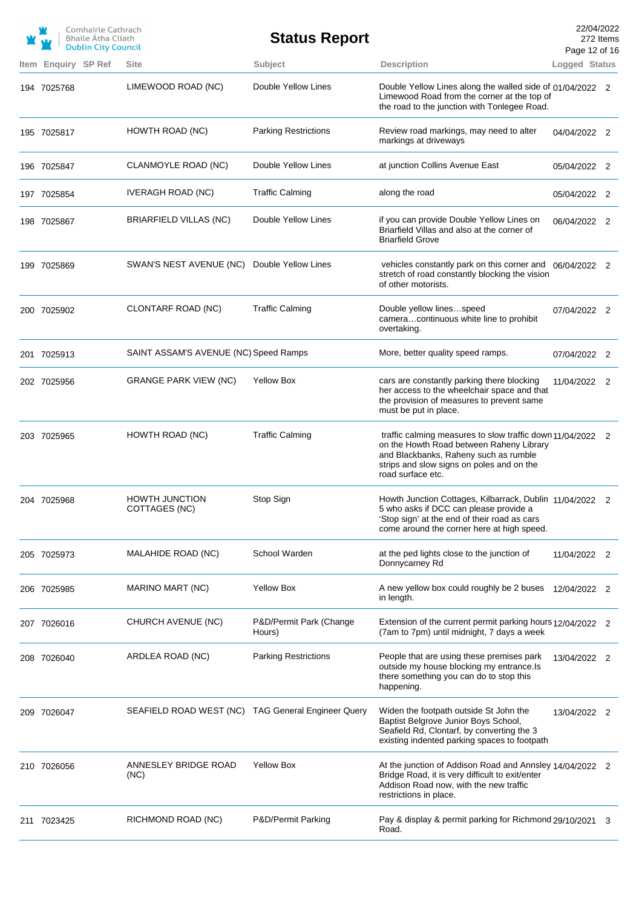|                     | Comhairle Cathrach<br><b>Bhaile Átha Cliath</b><br><b>Dublin City Council</b> |                                                    | <b>Status Report</b>              |                                                                                                                                                                                                                   | Page 12 of 16 | 22/04/2022<br>272 Items |
|---------------------|-------------------------------------------------------------------------------|----------------------------------------------------|-----------------------------------|-------------------------------------------------------------------------------------------------------------------------------------------------------------------------------------------------------------------|---------------|-------------------------|
| Item Enquiry SP Ref |                                                                               | <b>Site</b>                                        | Subject                           | <b>Description</b>                                                                                                                                                                                                | Logged Status |                         |
| 194 7025768         |                                                                               | LIMEWOOD ROAD (NC)                                 | Double Yellow Lines               | Double Yellow Lines along the walled side of 01/04/2022 2<br>Limewood Road from the corner at the top of<br>the road to the junction with Tonlegee Road.                                                          |               |                         |
| 195 7025817         |                                                                               | HOWTH ROAD (NC)                                    | <b>Parking Restrictions</b>       | Review road markings, may need to alter<br>markings at driveways                                                                                                                                                  | 04/04/2022 2  |                         |
| 196 7025847         |                                                                               | CLANMOYLE ROAD (NC)                                | Double Yellow Lines               | at junction Collins Avenue East                                                                                                                                                                                   | 05/04/2022 2  |                         |
| 197 7025854         |                                                                               | <b>IVERAGH ROAD (NC)</b>                           | <b>Traffic Calming</b>            | along the road                                                                                                                                                                                                    | 05/04/2022 2  |                         |
| 198 7025867         |                                                                               | BRIARFIELD VILLAS (NC)                             | Double Yellow Lines               | if you can provide Double Yellow Lines on<br>Briarfield Villas and also at the corner of<br><b>Briarfield Grove</b>                                                                                               | 06/04/2022 2  |                         |
| 199 7025869         |                                                                               | SWAN'S NEST AVENUE (NC)                            | Double Yellow Lines               | vehicles constantly park on this corner and 06/04/2022 2<br>stretch of road constantly blocking the vision<br>of other motorists.                                                                                 |               |                         |
| 200 7025902         |                                                                               | CLONTARF ROAD (NC)                                 | <b>Traffic Calming</b>            | Double yellow linesspeed<br>cameracontinuous white line to prohibit<br>overtaking.                                                                                                                                | 07/04/2022 2  |                         |
| 201 7025913         |                                                                               | SAINT ASSAM'S AVENUE (NC) Speed Ramps              |                                   | More, better quality speed ramps.                                                                                                                                                                                 | 07/04/2022 2  |                         |
| 202 7025956         |                                                                               | <b>GRANGE PARK VIEW (NC)</b>                       | <b>Yellow Box</b>                 | cars are constantly parking there blocking<br>her access to the wheelchair space and that<br>the provision of measures to prevent same<br>must be put in place.                                                   | 11/04/2022 2  |                         |
| 203 7025965         |                                                                               | HOWTH ROAD (NC)                                    | <b>Traffic Calming</b>            | traffic calming measures to slow traffic down 11/04/2022 2<br>on the Howth Road between Raheny Library<br>and Blackbanks, Raheny such as rumble<br>strips and slow signs on poles and on the<br>road surface etc. |               |                         |
| 204 7025968         |                                                                               | <b>HOWTH JUNCTION</b><br>COTTAGES (NC)             | Stop Sign                         | Howth Junction Cottages, Kilbarrack, Dublin 11/04/2022<br>5 who asks if DCC can please provide a<br>'Stop sign' at the end of their road as cars<br>come around the corner here at high speed.                    |               |                         |
| 205 7025973         |                                                                               | MALAHIDE ROAD (NC)                                 | School Warden                     | at the ped lights close to the junction of<br>Donnycarney Rd                                                                                                                                                      | 11/04/2022 2  |                         |
| 206 7025985         |                                                                               | MARINO MART (NC)                                   | <b>Yellow Box</b>                 | A new yellow box could roughly be 2 buses<br>in length.                                                                                                                                                           | 12/04/2022 2  |                         |
| 207 7026016         |                                                                               | CHURCH AVENUE (NC)                                 | P&D/Permit Park (Change<br>Hours) | Extension of the current permit parking hours 12/04/2022 2<br>(7am to 7pm) until midnight, 7 days a week                                                                                                          |               |                         |
| 208 7026040         |                                                                               | ARDLEA ROAD (NC)                                   | <b>Parking Restrictions</b>       | People that are using these premises park<br>outside my house blocking my entrance.Is<br>there something you can do to stop this<br>happening.                                                                    | 13/04/2022 2  |                         |
| 209 7026047         |                                                                               | SEAFIELD ROAD WEST (NC) TAG General Engineer Query |                                   | Widen the footpath outside St John the<br>Baptist Belgrove Junior Boys School,<br>Seafield Rd, Clontarf, by converting the 3<br>existing indented parking spaces to footpath                                      | 13/04/2022 2  |                         |
| 210 7026056         |                                                                               | ANNESLEY BRIDGE ROAD<br>(NC)                       | <b>Yellow Box</b>                 | At the junction of Addison Road and Annsley 14/04/2022 2<br>Bridge Road, it is very difficult to exit/enter<br>Addison Road now, with the new traffic<br>restrictions in place.                                   |               |                         |
| 211 7023425         |                                                                               | RICHMOND ROAD (NC)                                 | P&D/Permit Parking                | Pay & display & permit parking for Richmond 29/10/2021 3<br>Road.                                                                                                                                                 |               |                         |
|                     |                                                                               |                                                    |                                   |                                                                                                                                                                                                                   |               |                         |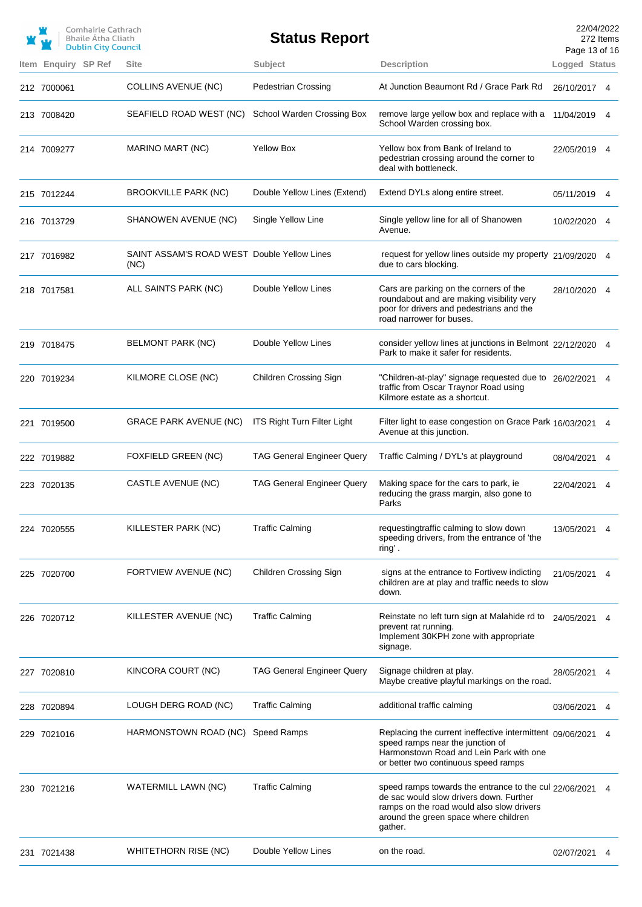|                     | Comhairle Cathrach<br>Bhaile Átha Cliath<br><b>Dublin City Council</b> |                                                     | <b>Status Report</b>               |                                                                                                                                                                                                    | 22/04/2022<br>Page 13 of 16 | 272 Items |
|---------------------|------------------------------------------------------------------------|-----------------------------------------------------|------------------------------------|----------------------------------------------------------------------------------------------------------------------------------------------------------------------------------------------------|-----------------------------|-----------|
| Item Enquiry SP Ref |                                                                        | <b>Site</b>                                         | Subject                            | <b>Description</b>                                                                                                                                                                                 | Logged Status               |           |
| 212 7000061         |                                                                        | <b>COLLINS AVENUE (NC)</b>                          | <b>Pedestrian Crossing</b>         | At Junction Beaumont Rd / Grace Park Rd                                                                                                                                                            | 26/10/2017 4                |           |
| 213 7008420         |                                                                        | SEAFIELD ROAD WEST (NC)                             | School Warden Crossing Box         | remove large yellow box and replace with a<br>School Warden crossing box.                                                                                                                          | 11/04/2019 4                |           |
| 214 7009277         |                                                                        | MARINO MART (NC)                                    | <b>Yellow Box</b>                  | Yellow box from Bank of Ireland to<br>pedestrian crossing around the corner to<br>deal with bottleneck.                                                                                            | 22/05/2019 4                |           |
| 215 7012244         |                                                                        | BROOKVILLE PARK (NC)                                | Double Yellow Lines (Extend)       | Extend DYLs along entire street.                                                                                                                                                                   | 05/11/2019 4                |           |
| 216 7013729         |                                                                        | SHANOWEN AVENUE (NC)                                | Single Yellow Line                 | Single yellow line for all of Shanowen<br>Avenue.                                                                                                                                                  | 10/02/2020 4                |           |
| 217 7016982         |                                                                        | SAINT ASSAM'S ROAD WEST Double Yellow Lines<br>(NC) |                                    | request for yellow lines outside my property 21/09/2020 4<br>due to cars blocking.                                                                                                                 |                             |           |
| 218 7017581         |                                                                        | ALL SAINTS PARK (NC)                                | Double Yellow Lines                | Cars are parking on the corners of the<br>roundabout and are making visibility very<br>poor for drivers and pedestrians and the<br>road narrower for buses.                                        | 28/10/2020 4                |           |
| 219 7018475         |                                                                        | BELMONT PARK (NC)                                   | Double Yellow Lines                | consider yellow lines at junctions in Belmont 22/12/2020 4<br>Park to make it safer for residents.                                                                                                 |                             |           |
| 220 7019234         |                                                                        | KILMORE CLOSE (NC)                                  | Children Crossing Sign             | "Children-at-play" signage requested due to 26/02/2021 4<br>traffic from Oscar Traynor Road using<br>Kilmore estate as a shortcut.                                                                 |                             |           |
| 221 7019500         |                                                                        | GRACE PARK AVENUE (NC)                              | <b>ITS Right Turn Filter Light</b> | Filter light to ease congestion on Grace Park 16/03/2021 4<br>Avenue at this junction.                                                                                                             |                             |           |
| 222 7019882         |                                                                        | FOXFIELD GREEN (NC)                                 | <b>TAG General Engineer Query</b>  | Traffic Calming / DYL's at playground                                                                                                                                                              | 08/04/2021                  | 4         |
| 223 7020135         |                                                                        | CASTLE AVENUE (NC)                                  | <b>TAG General Engineer Query</b>  | Making space for the cars to park, ie<br>reducing the grass margin, also gone to<br>Parks                                                                                                          | 22/04/2021 4                |           |
| 224 7020555         |                                                                        | KILLESTER PARK (NC)                                 | <b>Traffic Calming</b>             | requestingtraffic calming to slow down<br>speeding drivers, from the entrance of 'the<br>ring'.                                                                                                    | 13/05/2021                  |           |
| 225 7020700         |                                                                        | FORTVIEW AVENUE (NC)                                | Children Crossing Sign             | signs at the entrance to Fortivew indicting<br>children are at play and traffic needs to slow<br>down.                                                                                             | 21/05/2021                  |           |
| 226 7020712         |                                                                        | KILLESTER AVENUE (NC)                               | <b>Traffic Calming</b>             | Reinstate no left turn sign at Malahide rd to<br>prevent rat running.<br>Implement 30KPH zone with appropriate<br>signage.                                                                         | 24/05/2021                  |           |
| 227 7020810         |                                                                        | KINCORA COURT (NC)                                  | <b>TAG General Engineer Query</b>  | Signage children at play.<br>Maybe creative playful markings on the road.                                                                                                                          | 28/05/2021                  |           |
| 228 7020894         |                                                                        | LOUGH DERG ROAD (NC)                                | <b>Traffic Calming</b>             | additional traffic calming                                                                                                                                                                         | 03/06/2021                  | 4         |
| 229 7021016         |                                                                        | HARMONSTOWN ROAD (NC)                               | Speed Ramps                        | Replacing the current ineffective intermittent 09/06/2021<br>speed ramps near the junction of<br>Harmonstown Road and Lein Park with one<br>or better two continuous speed ramps                   |                             |           |
| 230 7021216         |                                                                        | WATERMILL LAWN (NC)                                 | <b>Traffic Calming</b>             | speed ramps towards the entrance to the cul 22/06/2021<br>de sac would slow drivers down. Further<br>ramps on the road would also slow drivers<br>around the green space where children<br>gather. |                             |           |
| 231 7021438         |                                                                        | <b>WHITETHORN RISE (NC)</b>                         | Double Yellow Lines                | on the road.                                                                                                                                                                                       | 02/07/2021                  |           |
|                     |                                                                        |                                                     |                                    |                                                                                                                                                                                                    |                             |           |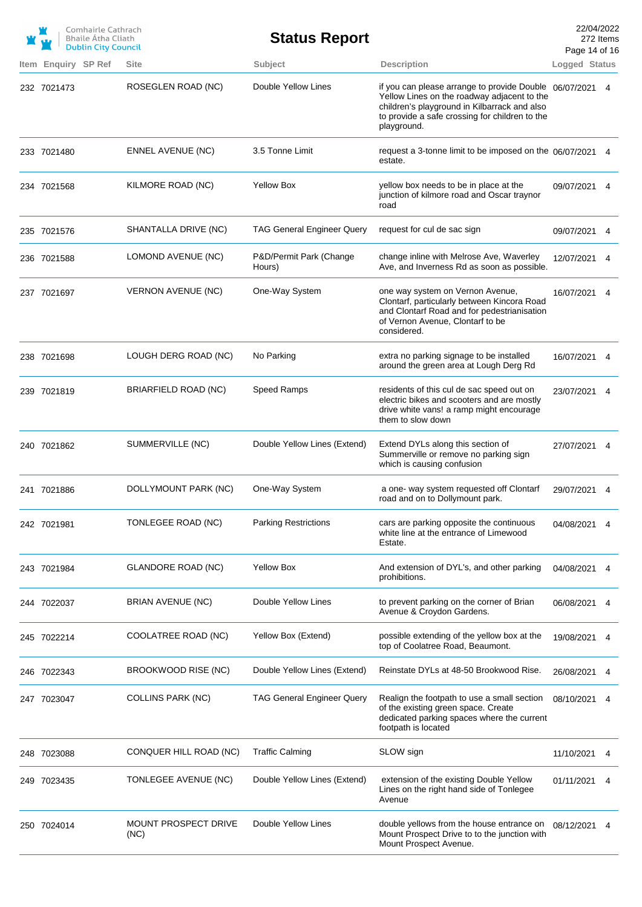|                     | Comhairle Cathrach<br>Bhaile Átha Cliath<br><b>Dublin City Council</b> |                              | <b>Status Report</b>              |                                                                                                                                                                                                                        | Page 14 of 16 | 22/04/2022<br>272 Items |
|---------------------|------------------------------------------------------------------------|------------------------------|-----------------------------------|------------------------------------------------------------------------------------------------------------------------------------------------------------------------------------------------------------------------|---------------|-------------------------|
| Item Enquiry SP Ref |                                                                        | <b>Site</b>                  | Subject                           | <b>Description</b>                                                                                                                                                                                                     | Logged Status |                         |
| 232 7021473         |                                                                        | ROSEGLEN ROAD (NC)           | Double Yellow Lines               | if you can please arrange to provide Double 06/07/2021<br>Yellow Lines on the roadway adjacent to the<br>children's playground in Kilbarrack and also<br>to provide a safe crossing for children to the<br>playground. |               | 4                       |
| 233 7021480         |                                                                        | <b>ENNEL AVENUE (NC)</b>     | 3.5 Tonne Limit                   | request a 3-tonne limit to be imposed on the 06/07/2021<br>estate.                                                                                                                                                     |               | 4                       |
| 234 7021568         |                                                                        | KILMORE ROAD (NC)            | <b>Yellow Box</b>                 | yellow box needs to be in place at the<br>junction of kilmore road and Oscar traynor<br>road                                                                                                                           | 09/07/2021 4  |                         |
| 235 7021576         |                                                                        | SHANTALLA DRIVE (NC)         | <b>TAG General Engineer Query</b> | request for cul de sac sign                                                                                                                                                                                            | 09/07/2021    | 4                       |
| 236 7021588         |                                                                        | LOMOND AVENUE (NC)           | P&D/Permit Park (Change<br>Hours) | change inline with Melrose Ave, Waverley<br>Ave, and Inverness Rd as soon as possible.                                                                                                                                 | 12/07/2021    | 4                       |
| 237 7021697         |                                                                        | <b>VERNON AVENUE (NC)</b>    | One-Way System                    | one way system on Vernon Avenue,<br>Clontarf, particularly between Kincora Road<br>and Clontarf Road and for pedestrianisation<br>of Vernon Avenue, Clontarf to be<br>considered.                                      | 16/07/2021    | 4                       |
| 238 7021698         |                                                                        | LOUGH DERG ROAD (NC)         | No Parking                        | extra no parking signage to be installed<br>around the green area at Lough Derg Rd                                                                                                                                     | 16/07/2021 4  |                         |
| 239 7021819         |                                                                        | BRIARFIELD ROAD (NC)         | Speed Ramps                       | residents of this cul de sac speed out on<br>electric bikes and scooters and are mostly<br>drive white vans! a ramp might encourage<br>them to slow down                                                               | 23/07/2021    | 4                       |
| 240 7021862         |                                                                        | SUMMERVILLE (NC)             | Double Yellow Lines (Extend)      | Extend DYLs along this section of<br>Summerville or remove no parking sign<br>which is causing confusion                                                                                                               | 27/07/2021 4  |                         |
| 241 7021886         |                                                                        | DOLLYMOUNT PARK (NC)         | One-Way System                    | a one- way system requested off Clontarf<br>road and on to Dollymount park.                                                                                                                                            | 29/07/2021    | 4                       |
| 242 7021981         |                                                                        | TONLEGEE ROAD (NC)           | <b>Parking Restrictions</b>       | cars are parking opposite the continuous<br>white line at the entrance of Limewood<br>Estate.                                                                                                                          | 04/08/2021    |                         |
| 243 7021984         |                                                                        | <b>GLANDORE ROAD (NC)</b>    | <b>Yellow Box</b>                 | And extension of DYL's, and other parking<br>prohibitions.                                                                                                                                                             | 04/08/2021    | 4                       |
| 244 7022037         |                                                                        | BRIAN AVENUE (NC)            | Double Yellow Lines               | to prevent parking on the corner of Brian<br>Avenue & Croydon Gardens.                                                                                                                                                 | 06/08/2021    | 4                       |
| 245 7022214         |                                                                        | COOLATREE ROAD (NC)          | Yellow Box (Extend)               | possible extending of the yellow box at the<br>top of Coolatree Road, Beaumont.                                                                                                                                        | 19/08/2021    | 4                       |
| 246 7022343         |                                                                        | BROOKWOOD RISE (NC)          | Double Yellow Lines (Extend)      | Reinstate DYLs at 48-50 Brookwood Rise.                                                                                                                                                                                | 26/08/2021    | 4                       |
| 247 7023047         |                                                                        | <b>COLLINS PARK (NC)</b>     | <b>TAG General Engineer Query</b> | Realign the footpath to use a small section<br>of the existing green space. Create<br>dedicated parking spaces where the current<br>footpath is located                                                                | 08/10/2021    | 4                       |
| 248 7023088         |                                                                        | CONQUER HILL ROAD (NC)       | <b>Traffic Calming</b>            | SLOW sign                                                                                                                                                                                                              | 11/10/2021    |                         |
| 249 7023435         |                                                                        | TONLEGEE AVENUE (NC)         | Double Yellow Lines (Extend)      | extension of the existing Double Yellow<br>Lines on the right hand side of Tonlegee<br>Avenue                                                                                                                          | 01/11/2021    |                         |
| 250 7024014         |                                                                        | MOUNT PROSPECT DRIVE<br>(NC) | Double Yellow Lines               | double yellows from the house entrance on<br>Mount Prospect Drive to to the junction with<br>Mount Prospect Avenue.                                                                                                    | 08/12/2021    | 4                       |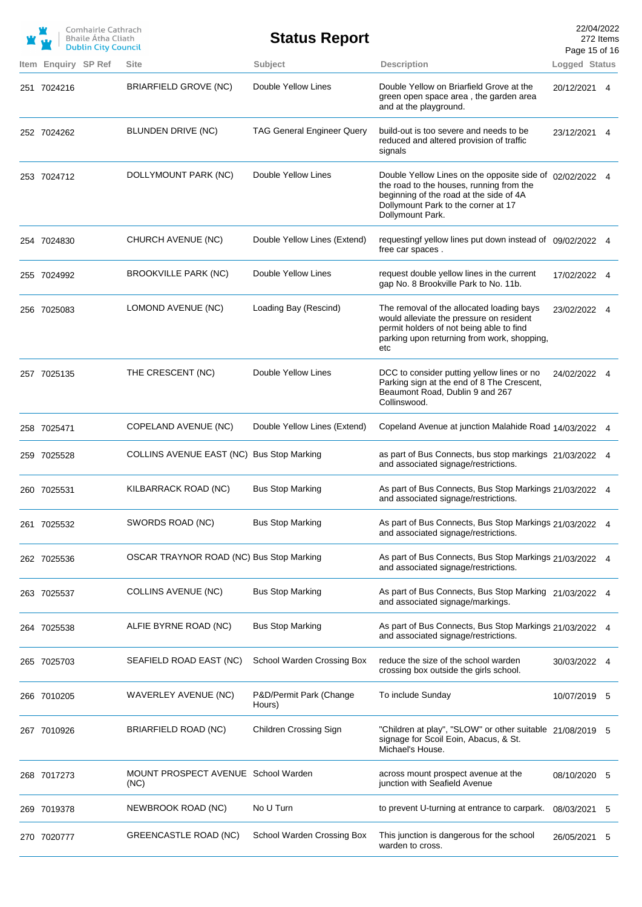|             | Comhairle Cathrach<br><b>Bhaile Atha Cliath</b><br><b>Dublin City Council</b> |                                             | <b>Status Report</b>              |                                                                                                                                                                                                            | 22/04/2022<br>Page 15 of 16 | 272 Items |
|-------------|-------------------------------------------------------------------------------|---------------------------------------------|-----------------------------------|------------------------------------------------------------------------------------------------------------------------------------------------------------------------------------------------------------|-----------------------------|-----------|
|             | Item Enquiry SP Ref                                                           | <b>Site</b>                                 | Subject                           | <b>Description</b>                                                                                                                                                                                         | Logged Status               |           |
| 251 7024216 |                                                                               | <b>BRIARFIELD GROVE (NC)</b>                | Double Yellow Lines               | Double Yellow on Briarfield Grove at the<br>green open space area, the garden area<br>and at the playground.                                                                                               | 20/12/2021 4                |           |
| 252 7024262 |                                                                               | BLUNDEN DRIVE (NC)                          | <b>TAG General Engineer Query</b> | build-out is too severe and needs to be<br>reduced and altered provision of traffic<br>signals                                                                                                             | 23/12/2021 4                |           |
| 253 7024712 |                                                                               | DOLLYMOUNT PARK (NC)                        | Double Yellow Lines               | Double Yellow Lines on the opposite side of 02/02/2022 4<br>the road to the houses, running from the<br>beginning of the road at the side of 4A<br>Dollymount Park to the corner at 17<br>Dollymount Park. |                             |           |
| 254 7024830 |                                                                               | CHURCH AVENUE (NC)                          | Double Yellow Lines (Extend)      | requestingf yellow lines put down instead of 09/02/2022 4<br>free car spaces.                                                                                                                              |                             |           |
| 255 7024992 |                                                                               | <b>BROOKVILLE PARK (NC)</b>                 | Double Yellow Lines               | request double yellow lines in the current<br>gap No. 8 Brookville Park to No. 11b.                                                                                                                        | 17/02/2022 4                |           |
| 256 7025083 |                                                                               | LOMOND AVENUE (NC)                          | Loading Bay (Rescind)             | The removal of the allocated loading bays<br>would alleviate the pressure on resident<br>permit holders of not being able to find<br>parking upon returning from work, shopping,<br>etc                    | 23/02/2022 4                |           |
| 257 7025135 |                                                                               | THE CRESCENT (NC)                           | Double Yellow Lines               | DCC to consider putting yellow lines or no<br>Parking sign at the end of 8 The Crescent,<br>Beaumont Road, Dublin 9 and 267<br>Collinswood.                                                                | 24/02/2022 4                |           |
| 258 7025471 |                                                                               | COPELAND AVENUE (NC)                        | Double Yellow Lines (Extend)      | Copeland Avenue at junction Malahide Road 14/03/2022 4                                                                                                                                                     |                             |           |
| 259 7025528 |                                                                               | COLLINS AVENUE EAST (NC) Bus Stop Marking   |                                   | as part of Bus Connects, bus stop markings 21/03/2022 4<br>and associated signage/restrictions.                                                                                                            |                             |           |
| 260 7025531 |                                                                               | KILBARRACK ROAD (NC)                        | <b>Bus Stop Marking</b>           | As part of Bus Connects, Bus Stop Markings 21/03/2022 4<br>and associated signage/restrictions.                                                                                                            |                             |           |
| 261 7025532 |                                                                               | SWORDS ROAD (NC)                            | <b>Bus Stop Marking</b>           | As part of Bus Connects, Bus Stop Markings 21/03/2022 4<br>and associated signage/restrictions.                                                                                                            |                             |           |
| 262 7025536 |                                                                               | OSCAR TRAYNOR ROAD (NC) Bus Stop Marking    |                                   | As part of Bus Connects, Bus Stop Markings 21/03/2022 4<br>and associated signage/restrictions.                                                                                                            |                             |           |
| 263 7025537 |                                                                               | <b>COLLINS AVENUE (NC)</b>                  | <b>Bus Stop Marking</b>           | As part of Bus Connects, Bus Stop Marking 21/03/2022 4<br>and associated signage/markings.                                                                                                                 |                             |           |
| 264 7025538 |                                                                               | ALFIE BYRNE ROAD (NC)                       | <b>Bus Stop Marking</b>           | As part of Bus Connects, Bus Stop Markings 21/03/2022 4<br>and associated signage/restrictions.                                                                                                            |                             |           |
| 265 7025703 |                                                                               | SEAFIELD ROAD EAST (NC)                     | School Warden Crossing Box        | reduce the size of the school warden<br>crossing box outside the girls school.                                                                                                                             | 30/03/2022 4                |           |
| 266 7010205 |                                                                               | WAVERLEY AVENUE (NC)                        | P&D/Permit Park (Change<br>Hours) | To include Sunday                                                                                                                                                                                          | 10/07/2019 5                |           |
| 267 7010926 |                                                                               | BRIARFIELD ROAD (NC)                        | <b>Children Crossing Sign</b>     | "Children at play", "SLOW" or other suitable 21/08/2019 5<br>signage for Scoil Eoin, Abacus, & St.<br>Michael's House.                                                                                     |                             |           |
| 268 7017273 |                                                                               | MOUNT PROSPECT AVENUE School Warden<br>(NC) |                                   | across mount prospect avenue at the<br>junction with Seafield Avenue                                                                                                                                       | 08/10/2020                  | 5         |
| 269 7019378 |                                                                               | NEWBROOK ROAD (NC)                          | No U Turn                         | to prevent U-turning at entrance to carpark.                                                                                                                                                               | 08/03/2021                  | 5         |
| 270 7020777 |                                                                               | <b>GREENCASTLE ROAD (NC)</b>                | School Warden Crossing Box        | This junction is dangerous for the school<br>warden to cross.                                                                                                                                              | 26/05/2021                  | 5         |